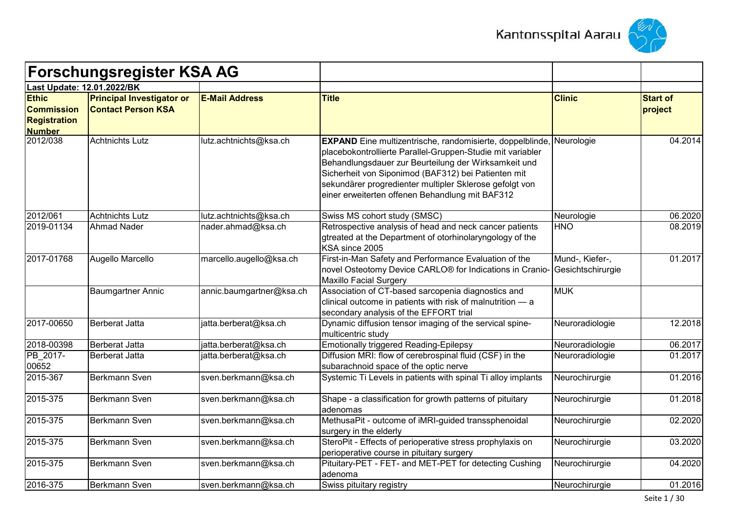



|                                                                           | <b>Forschungsregister KSA AG</b>                              |                          |                                                                                                                                                                                                                                                                                                                                                                        |                                      |                            |
|---------------------------------------------------------------------------|---------------------------------------------------------------|--------------------------|------------------------------------------------------------------------------------------------------------------------------------------------------------------------------------------------------------------------------------------------------------------------------------------------------------------------------------------------------------------------|--------------------------------------|----------------------------|
| Last Update: 12.01.2022/BK                                                |                                                               |                          |                                                                                                                                                                                                                                                                                                                                                                        |                                      |                            |
| <b>Ethic</b><br><b>Commission</b><br><b>Registration</b><br><b>Number</b> | <b>Principal Investigator or</b><br><b>Contact Person KSA</b> | <b>E-Mail Address</b>    | <b>Title</b>                                                                                                                                                                                                                                                                                                                                                           | <b>Clinic</b>                        | <b>Start of</b><br>project |
| 2012/038                                                                  | <b>Achtnichts Lutz</b>                                        | lutz.achtnichts@ksa.ch   | <b>EXPAND</b> Eine multizentrische, randomisierte, doppelblinde, Neurologie<br>placebokontrollierte Parallel-Gruppen-Studie mit variabler<br>Behandlungsdauer zur Beurteilung der Wirksamkeit und<br>Sicherheit von Siponimod (BAF312) bei Patienten mit<br>sekundärer progredienter multipler Sklerose gefolgt von<br>einer erweiterten offenen Behandlung mit BAF312 |                                      | 04.2014                    |
| 2012/061                                                                  | <b>Achtnichts Lutz</b>                                        | lutz.achtnichts@ksa.ch   | Swiss MS cohort study (SMSC)                                                                                                                                                                                                                                                                                                                                           | Neurologie                           | 06.2020                    |
| 2019-01134                                                                | <b>Ahmad Nader</b>                                            | nader.ahmad@ksa.ch       | Retrospective analysis of head and neck cancer patients<br>gtreated at the Department of otorhinolaryngology of the<br>KSA since 2005                                                                                                                                                                                                                                  | <b>HNO</b>                           | 08.2019                    |
| 2017-01768                                                                | Augello Marcello                                              | marcello.augello@ksa.ch  | First-in-Man Safety and Performance Evaluation of the<br>novel Osteotomy Device CARLO <sup>®</sup> for Indications in Cranio-<br><b>Maxillo Facial Surgery</b>                                                                                                                                                                                                         | Mund-, Kiefer-,<br>Gesichtschirurgie | 01.2017                    |
|                                                                           | Baumgartner Annic                                             | annic.baumgartner@ksa.ch | Association of CT-based sarcopenia diagnostics and<br>clinical outcome in patients with risk of malnutrition - a<br>secondary analysis of the EFFORT trial                                                                                                                                                                                                             | <b>MUK</b>                           |                            |
| 2017-00650                                                                | Berberat Jatta                                                | jatta.berberat@ksa.ch    | Dynamic diffusion tensor imaging of the servical spine-<br>multicentric study                                                                                                                                                                                                                                                                                          | Neuroradiologie                      | 12.2018                    |
| 2018-00398                                                                | Berberat Jatta                                                | jatta.berberat@ksa.ch    | <b>Emotionally triggered Reading-Epilepsy</b>                                                                                                                                                                                                                                                                                                                          | Neuroradiologie                      | 06.2017                    |
| PB_2017-<br>00652                                                         | <b>Berberat Jatta</b>                                         | jatta.berberat@ksa.ch    | Diffusion MRI: flow of cerebrospinal fluid (CSF) in the<br>subarachnoid space of the optic nerve                                                                                                                                                                                                                                                                       | Neuroradiologie                      | 01.2017                    |
| 2015-367                                                                  | Berkmann Sven                                                 | sven.berkmann@ksa.ch     | Systemic Ti Levels in patients with spinal Ti alloy implants                                                                                                                                                                                                                                                                                                           | Neurochirurgie                       | 01.2016                    |
| 2015-375                                                                  | Berkmann Sven                                                 | sven.berkmann@ksa.ch     | Shape - a classification for growth patterns of pituitary<br>adenomas                                                                                                                                                                                                                                                                                                  | Neurochirurgie                       | 01.2018                    |
| 2015-375                                                                  | Berkmann Sven                                                 | sven.berkmann@ksa.ch     | MethusaPit - outcome of iMRI-guided transsphenoidal<br>surgery in the elderly                                                                                                                                                                                                                                                                                          | Neurochirurgie                       | 02.2020                    |
| 2015-375                                                                  | Berkmann Sven                                                 | sven.berkmann@ksa.ch     | SteroPit - Effects of perioperative stress prophylaxis on<br>perioperative course in pituitary surgery                                                                                                                                                                                                                                                                 | Neurochirurgie                       | 03.2020                    |
| 2015-375                                                                  | Berkmann Sven                                                 | sven.berkmann@ksa.ch     | Pituitary-PET - FET- and MET-PET for detecting Cushing<br>adenoma                                                                                                                                                                                                                                                                                                      | Neurochirurgie                       | 04.2020                    |
| 2016-375                                                                  | Berkmann Sven                                                 | sven.berkmann@ksa.ch     | Swiss pituitary registry                                                                                                                                                                                                                                                                                                                                               | Neurochirurgie                       | 01.2016                    |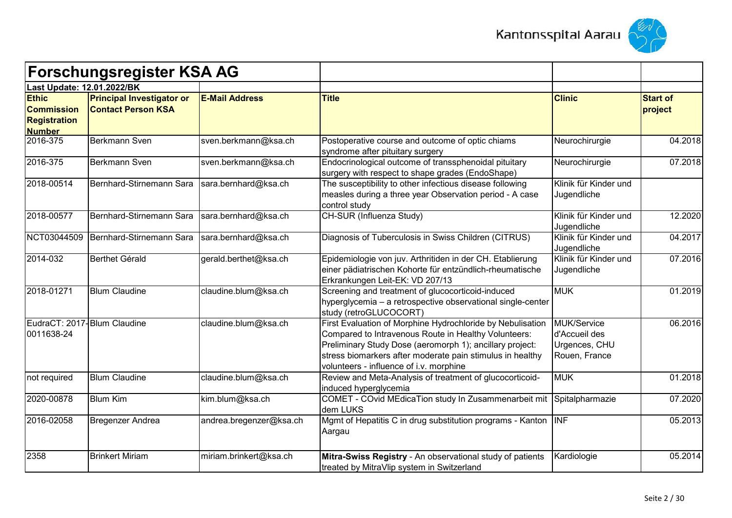



|                                                                           | <b>Forschungsregister KSA AG</b>                              |                         |                                                                                                                                                                                                                                                                                        |                                                                |                            |
|---------------------------------------------------------------------------|---------------------------------------------------------------|-------------------------|----------------------------------------------------------------------------------------------------------------------------------------------------------------------------------------------------------------------------------------------------------------------------------------|----------------------------------------------------------------|----------------------------|
| Last Update: 12.01.2022/BK                                                |                                                               |                         |                                                                                                                                                                                                                                                                                        |                                                                |                            |
| <b>Ethic</b><br><b>Commission</b><br><b>Registration</b><br><b>Number</b> | <b>Principal Investigator or</b><br><b>Contact Person KSA</b> | <b>E-Mail Address</b>   | <b>Title</b>                                                                                                                                                                                                                                                                           | <b>Clinic</b>                                                  | <b>Start of</b><br>project |
| 2016-375                                                                  | Berkmann Sven                                                 | sven.berkmann@ksa.ch    | Postoperative course and outcome of optic chiams<br>syndrome after pituitary surgery                                                                                                                                                                                                   | Neurochirurgie                                                 | 04.2018                    |
| 2016-375                                                                  | Berkmann Sven                                                 | sven.berkmann@ksa.ch    | Endocrinological outcome of transsphenoidal pituitary<br>surgery with respect to shape grades (EndoShape)                                                                                                                                                                              | Neurochirurgie                                                 | 07.2018                    |
| 2018-00514                                                                | Bernhard-Stirnemann Sara                                      | sara.bernhard@ksa.ch    | The susceptibility to other infectious disease following<br>measles during a three year Observation period - A case<br>control study                                                                                                                                                   | Klinik für Kinder und<br>Jugendliche                           |                            |
| 2018-00577                                                                | Bernhard-Stirnemann Sara                                      | sara.bernhard@ksa.ch    | CH-SUR (Influenza Study)                                                                                                                                                                                                                                                               | Klinik für Kinder und<br>Jugendliche                           | 12.2020                    |
| NCT03044509                                                               | Bernhard-Stirnemann Sara                                      | sara.bernhard@ksa.ch    | Diagnosis of Tuberculosis in Swiss Children (CITRUS)                                                                                                                                                                                                                                   | Klinik für Kinder und<br>Jugendliche                           | 04.2017                    |
| 2014-032                                                                  | Berthet Gérald                                                | gerald.berthet@ksa.ch   | Epidemiologie von juv. Arthritiden in der CH. Etablierung<br>einer pädiatrischen Kohorte für entzündlich-rheumatische<br>Erkrankungen Leit-EK: VD 207/13                                                                                                                               | Klinik für Kinder und<br>Jugendliche                           | 07.2016                    |
| 2018-01271                                                                | <b>Blum Claudine</b>                                          | claudine.blum@ksa.ch    | Screening and treatment of glucocorticoid-induced<br>hyperglycemia - a retrospective observational single-center<br>study (retroGLUCOCORT)                                                                                                                                             | <b>MUK</b>                                                     | 01.2019                    |
| EudraCT: 2017-Blum Claudine<br>0011638-24                                 |                                                               | claudine.blum@ksa.ch    | First Evaluation of Morphine Hydrochloride by Nebulisation<br>Compared to Intravenous Route in Healthy Volunteers:<br>Preliminary Study Dose (aeromorph 1); ancillary project:<br>stress biomarkers after moderate pain stimulus in healthy<br>volunteers - influence of i.v. morphine | MUK/Service<br>d'Accueil des<br>Urgences, CHU<br>Rouen, France | 06.2016                    |
| not required                                                              | <b>Blum Claudine</b>                                          | claudine.blum@ksa.ch    | Review and Meta-Analysis of treatment of glucocorticoid-<br>induced hyperglycemia                                                                                                                                                                                                      | <b>MUK</b>                                                     | 01.2018                    |
| 2020-00878                                                                | <b>Blum Kim</b>                                               | kim.blum@ksa.ch         | COMET - COvid MEdicaTion study In Zusammenarbeit mit<br>dem LUKS                                                                                                                                                                                                                       | Spitalpharmazie                                                | 07.2020                    |
| 2016-02058                                                                | <b>Bregenzer Andrea</b>                                       | andrea.bregenzer@ksa.ch | Mgmt of Hepatitis C in drug substitution programs - Kanton  INF<br>Aargau                                                                                                                                                                                                              |                                                                | 05.2013                    |
| 2358                                                                      | <b>Brinkert Miriam</b>                                        | miriam.brinkert@ksa.ch  | Mitra-Swiss Registry - An observational study of patients<br>treated by MitraVlip system in Switzerland                                                                                                                                                                                | Kardiologie                                                    | 05.2014                    |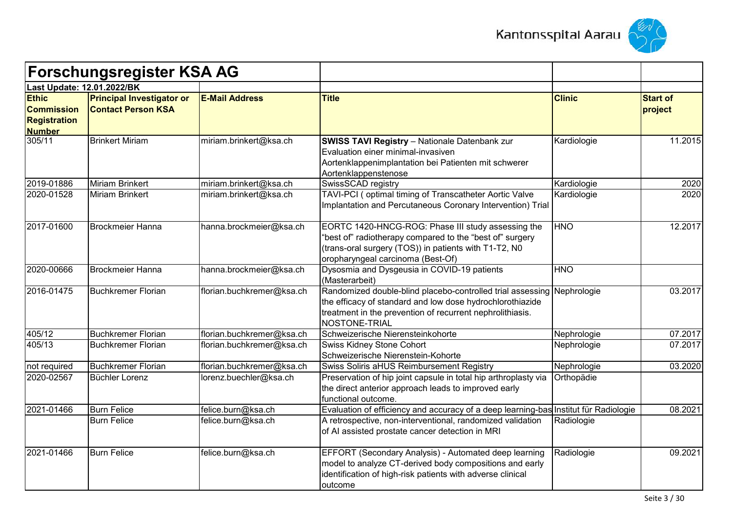



|                                                                           | <b>Forschungsregister KSA AG</b>                              |                           |                                                                                                                                                                                                                   |               |                            |
|---------------------------------------------------------------------------|---------------------------------------------------------------|---------------------------|-------------------------------------------------------------------------------------------------------------------------------------------------------------------------------------------------------------------|---------------|----------------------------|
| Last Update: 12.01.2022/BK                                                |                                                               |                           |                                                                                                                                                                                                                   |               |                            |
| <b>Ethic</b><br><b>Commission</b><br><b>Registration</b><br><b>Number</b> | <b>Principal Investigator or</b><br><b>Contact Person KSA</b> | <b>E-Mail Address</b>     | <b>Title</b>                                                                                                                                                                                                      | <b>Clinic</b> | <b>Start of</b><br>project |
| 305/11                                                                    | <b>Brinkert Miriam</b>                                        | miriam.brinkert@ksa.ch    | <b>SWISS TAVI Registry - Nationale Datenbank zur</b><br>Evaluation einer minimal-invasiven<br>Aortenklappenimplantation bei Patienten mit schwerer<br>Aortenklappenstenose                                        | Kardiologie   | 11.2015                    |
| 2019-01886                                                                | <b>Miriam Brinkert</b>                                        | miriam.brinkert@ksa.ch    | SwissSCAD registry                                                                                                                                                                                                | Kardiologie   | 2020                       |
| 2020-01528                                                                | <b>Miriam Brinkert</b>                                        | miriam.brinkert@ksa.ch    | TAVI-PCI (optimal timing of Transcatheter Aortic Valve<br>Implantation and Percutaneous Coronary Intervention) Trial                                                                                              | Kardiologie   | 2020                       |
| 2017-01600                                                                | <b>Brockmeier Hanna</b>                                       | hanna.brockmeier@ksa.ch   | EORTC 1420-HNCG-ROG: Phase III study assessing the<br>"best of" radiotherapy compared to the "best of" surgery<br>(trans-oral surgery (TOS)) in patients with T1-T2, N0<br>oropharyngeal carcinoma (Best-Of)      | <b>HNO</b>    | 12.2017                    |
| 2020-00666                                                                | <b>Brockmeier Hanna</b>                                       | hanna.brockmeier@ksa.ch   | Dysosmia and Dysgeusia in COVID-19 patients<br>(Masterarbeit)                                                                                                                                                     | <b>HNO</b>    |                            |
| 2016-01475                                                                | <b>Buchkremer Florian</b>                                     | florian.buchkremer@ksa.ch | Randomized double-blind placebo-controlled trial assessing Nephrologie<br>the efficacy of standard and low dose hydrochlorothiazide<br>treatment in the prevention of recurrent nephrolithiasis.<br>NOSTONE-TRIAL |               | 03.2017                    |
| 405/12                                                                    | <b>Buchkremer Florian</b>                                     | florian.buchkremer@ksa.ch | Schweizerische Nierensteinkohorte                                                                                                                                                                                 | Nephrologie   | 07.2017                    |
| 405/13                                                                    | <b>Buchkremer Florian</b>                                     | florian.buchkremer@ksa.ch | <b>Swiss Kidney Stone Cohort</b><br>Schweizerische Nierenstein-Kohorte                                                                                                                                            | Nephrologie   | 07.2017                    |
| not required                                                              | <b>Buchkremer Florian</b>                                     | florian.buchkremer@ksa.ch | Swiss Soliris aHUS Reimbursement Registry                                                                                                                                                                         | Nephrologie   | 03.2020                    |
| 2020-02567                                                                | Büchler Lorenz                                                | lorenz.buechler@ksa.ch    | Preservation of hip joint capsule in total hip arthroplasty via<br>the direct anterior approach leads to improved early<br>functional outcome.                                                                    | Orthopädie    |                            |
| 2021-01466                                                                | <b>Burn Felice</b>                                            | felice.burn@ksa.ch        | Evaluation of efficiency and accuracy of a deep learning-bas Institut für Radiologie                                                                                                                              |               | 08.2021                    |
|                                                                           | <b>Burn Felice</b>                                            | felice.burn@ksa.ch        | A retrospective, non-interventional, randomized validation<br>of AI assisted prostate cancer detection in MRI                                                                                                     | Radiologie    |                            |
| 2021-01466                                                                | <b>Burn Felice</b>                                            | felice.burn@ksa.ch        | EFFORT (Secondary Analysis) - Automated deep learning<br>model to analyze CT-derived body compositions and early<br>identification of high-risk patients with adverse clinical<br>outcome                         | Radiologie    | 09.2021                    |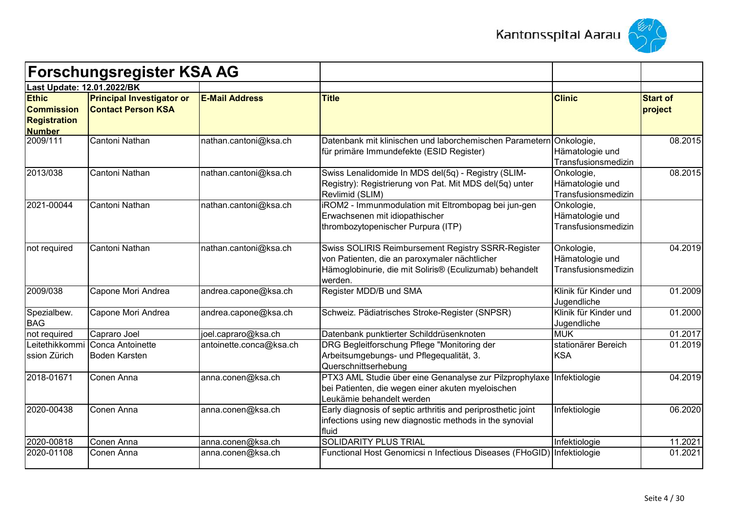



|                                                                           | <b>Forschungsregister KSA AG</b>                              |                         |                                                                                                                                                                           |                                                      |                            |
|---------------------------------------------------------------------------|---------------------------------------------------------------|-------------------------|---------------------------------------------------------------------------------------------------------------------------------------------------------------------------|------------------------------------------------------|----------------------------|
| Last Update: 12.01.2022/BK                                                |                                                               |                         |                                                                                                                                                                           |                                                      |                            |
| <b>Ethic</b><br><b>Commission</b><br><b>Registration</b><br><b>Number</b> | <b>Principal Investigator or</b><br><b>Contact Person KSA</b> | <b>E-Mail Address</b>   | <b>Title</b>                                                                                                                                                              | <b>Clinic</b>                                        | <b>Start of</b><br>project |
| 2009/111                                                                  | Cantoni Nathan                                                | nathan.cantoni@ksa.ch   | Datenbank mit klinischen und laborchemischen Parametern<br>für primäre Immundefekte (ESID Register)                                                                       | Onkologie,<br>Hämatologie und<br>Transfusionsmedizin | 08.2015                    |
| 2013/038                                                                  | Cantoni Nathan                                                | nathan.cantoni@ksa.ch   | Swiss Lenalidomide In MDS del(5q) - Registry (SLIM-<br>Registry): Registrierung von Pat. Mit MDS del(5q) unter<br>Revlimid (SLIM)                                         | Onkologie,<br>Hämatologie und<br>Transfusionsmedizin | 08.2015                    |
| 2021-00044                                                                | Cantoni Nathan                                                | nathan.cantoni@ksa.ch   | iROM2 - Immunmodulation mit Eltrombopag bei jun-gen<br>Erwachsenen mit idiopathischer<br>thrombozytopenischer Purpura (ITP)                                               | Onkologie,<br>Hämatologie und<br>Transfusionsmedizin |                            |
| not required                                                              | Cantoni Nathan                                                | nathan.cantoni@ksa.ch   | Swiss SOLIRIS Reimbursement Registry SSRR-Register<br>von Patienten, die an paroxymaler nächtlicher<br>Hämoglobinurie, die mit Soliris® (Eculizumab) behandelt<br>werden. | Onkologie,<br>Hämatologie und<br>Transfusionsmedizin | 04.2019                    |
| 2009/038                                                                  | Capone Mori Andrea                                            | andrea.capone@ksa.ch    | Register MDD/B und SMA                                                                                                                                                    | Klinik für Kinder und<br>Jugendliche                 | 01.2009                    |
| Spezialbew.<br><b>BAG</b>                                                 | Capone Mori Andrea                                            | andrea.capone@ksa.ch    | Schweiz. Pädiatrisches Stroke-Register (SNPSR)                                                                                                                            | Klinik für Kinder und<br>Jugendliche                 | 01.2000                    |
| not required                                                              | Capraro Joel                                                  | joel.capraro@ksa.ch     | Datenbank punktierter Schilddrüsenknoten                                                                                                                                  | <b>MUK</b>                                           | 01.2017                    |
| ssion Zürich                                                              | Leitethikkommi Conca Antoinette<br>Boden Karsten              | antoinette.conca@ksa.ch | DRG Begleitforschung Pflege "Monitoring der<br>Arbeitsumgebungs- und Pflegequalität, 3.<br>Querschnittserhebung                                                           | stationärer Bereich<br><b>KSA</b>                    | 01.2019                    |
| 2018-01671                                                                | Conen Anna                                                    | anna.conen@ksa.ch       | PTX3 AML Studie über eine Genanalyse zur Pilzprophylaxe Infektiologie<br>bei Patienten, die wegen einer akuten myeloischen<br>Leukämie behandelt werden                   |                                                      | 04.2019                    |
| 2020-00438                                                                | Conen Anna                                                    | anna.conen@ksa.ch       | Early diagnosis of septic arthritis and periprosthetic joint<br>infections using new diagnostic methods in the synovial<br>fluid                                          | Infektiologie                                        | 06.2020                    |
| 2020-00818                                                                | Conen Anna                                                    | anna.conen@ksa.ch       | <b>SOLIDARITY PLUS TRIAL</b>                                                                                                                                              | Infektiologie                                        | 11.2021                    |
| 2020-01108                                                                | Conen Anna                                                    | anna.conen@ksa.ch       | Functional Host Genomicsi n Infectious Diseases (FHoGID) Infektiologie                                                                                                    |                                                      | 01.2021                    |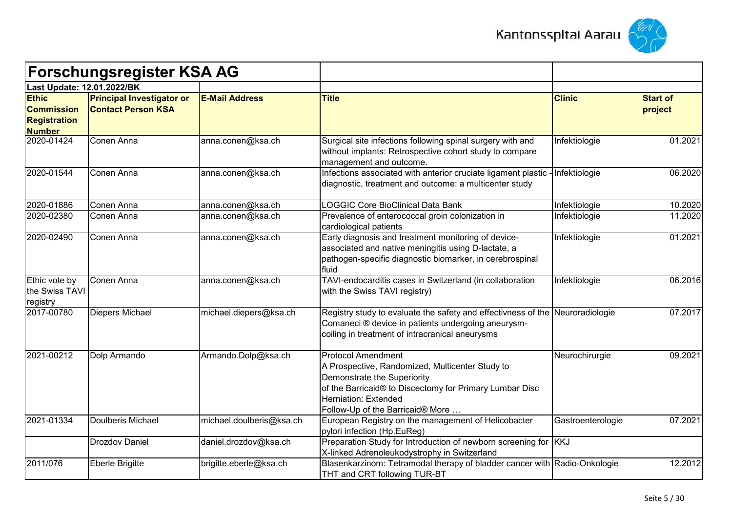



| <b>Forschungsregister KSA AG</b>                                          |                                                               |                          |                                                                                                                                                                                                                                    |                   |                            |
|---------------------------------------------------------------------------|---------------------------------------------------------------|--------------------------|------------------------------------------------------------------------------------------------------------------------------------------------------------------------------------------------------------------------------------|-------------------|----------------------------|
| Last Update: 12.01.2022/BK                                                |                                                               |                          |                                                                                                                                                                                                                                    |                   |                            |
| <b>Ethic</b><br><b>Commission</b><br><b>Registration</b><br><b>Number</b> | <b>Principal Investigator or</b><br><b>Contact Person KSA</b> | <b>E-Mail Address</b>    | <b>Title</b>                                                                                                                                                                                                                       | <b>Clinic</b>     | <b>Start of</b><br>project |
| 2020-01424                                                                | Conen Anna                                                    | anna.conen@ksa.ch        | Surgical site infections following spinal surgery with and<br>without implants: Retrospective cohort study to compare<br>management and outcome.                                                                                   | Infektiologie     | 01.2021                    |
| 2020-01544                                                                | Conen Anna                                                    | anna.conen@ksa.ch        | Infections associated with anterior cruciate ligament plastic -<br>diagnostic, treatment and outcome: a multicenter study                                                                                                          | Infektiologie     | 06.2020                    |
| 2020-01886                                                                | Conen Anna                                                    | anna.conen@ksa.ch        | <b>LOGGIC Core BioClinical Data Bank</b>                                                                                                                                                                                           | Infektiologie     | 10.2020                    |
| 2020-02380                                                                | Conen Anna                                                    | anna.conen@ksa.ch        | Prevalence of enterococcal groin colonization in<br>cardiological patients                                                                                                                                                         | Infektiologie     | 11.2020                    |
| 2020-02490                                                                | Conen Anna                                                    | anna.conen@ksa.ch        | Early diagnosis and treatment monitoring of device-<br>associated and native meningitis using D-lactate, a<br>pathogen-specific diagnostic biomarker, in cerebrospinal<br>fluid                                                    | Infektiologie     | 01.2021                    |
| Ethic vote by<br>the Swiss TAVI<br>registry                               | Conen Anna                                                    | anna.conen@ksa.ch        | TAVI-endocarditis cases in Switzerland (in collaboration<br>with the Swiss TAVI registry)                                                                                                                                          | Infektiologie     | 06.2016                    |
| 2017-00780                                                                | Diepers Michael                                               | michael.diepers@ksa.ch   | Registry study to evaluate the safety and effectivness of the Neuroradiologie<br>Comaneci ® device in patients undergoing aneurysm-<br>coiling in treatment of intracranical aneurysms                                             |                   | 07.2017                    |
| 2021-00212                                                                | Dolp Armando                                                  | Armando.Dolp@ksa.ch      | <b>Protocol Amendment</b><br>A Prospective, Randomized, Multicenter Study to<br>Demonstrate the Superiority<br>of the Barricaid® to Discectomy for Primary Lumbar Disc<br>Herniation: Extended<br>Follow-Up of the Barricaid® More | Neurochirurgie    | 09.2021                    |
| 2021-01334                                                                | Doulberis Michael                                             | michael.doulberis@ksa.ch | European Registry on the management of Helicobacter<br>pylori infection (Hp.EuReg)                                                                                                                                                 | Gastroenterologie | 07.2021                    |
|                                                                           | <b>Drozdov Daniel</b>                                         | daniel.drozdov@ksa.ch    | Preparation Study for Introduction of newborn screening for KKJ<br>X-linked Adrenoleukodystrophy in Switzerland                                                                                                                    |                   |                            |
| 2011/076                                                                  | Eberle Brigitte                                               | brigitte.eberle@ksa.ch   | Blasenkarzinom: Tetramodal therapy of bladder cancer with Radio-Onkologie<br>THT and CRT following TUR-BT                                                                                                                          |                   | 12.2012                    |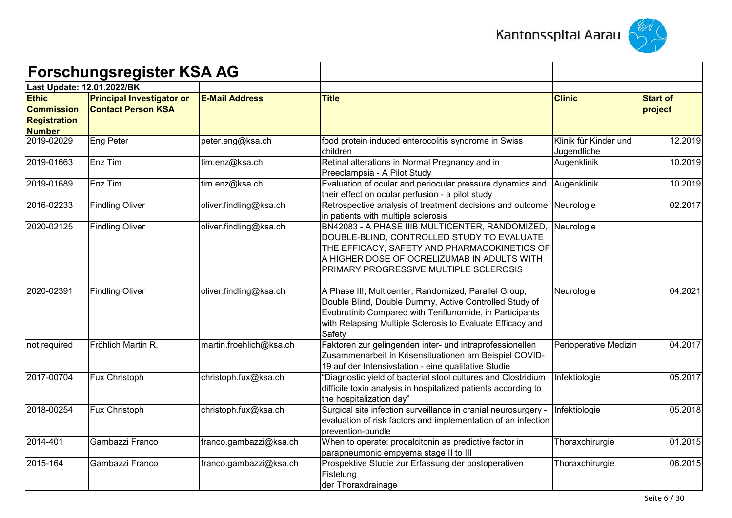



| <b>Forschungsregister KSA AG</b><br>Last Update: 12.01.2022/BK            |                                                               |                         |                                                                                                                                                                                                                                                     |                                      |                            |
|---------------------------------------------------------------------------|---------------------------------------------------------------|-------------------------|-----------------------------------------------------------------------------------------------------------------------------------------------------------------------------------------------------------------------------------------------------|--------------------------------------|----------------------------|
|                                                                           |                                                               |                         |                                                                                                                                                                                                                                                     |                                      |                            |
| <b>Ethic</b><br><b>Commission</b><br><b>Registration</b><br><b>Number</b> | <b>Principal Investigator or</b><br><b>Contact Person KSA</b> | <b>E-Mail Address</b>   | <b>Title</b>                                                                                                                                                                                                                                        | <b>Clinic</b>                        | <b>Start of</b><br>project |
| 2019-02029                                                                | Eng Peter                                                     | peter.eng@ksa.ch        | food protein induced enterocolitis syndrome in Swiss<br>children                                                                                                                                                                                    | Klinik für Kinder und<br>Jugendliche | 12.2019                    |
| 2019-01663                                                                | Enz Tim                                                       | tim.enz@ksa.ch          | Retinal alterations in Normal Pregnancy and in<br>Preeclampsia - A Pilot Study                                                                                                                                                                      | Augenklinik                          | 10.2019                    |
| 2019-01689                                                                | Enz Tim                                                       | tim.enz@ksa.ch          | Evaluation of ocular and periocular pressure dynamics and<br>their effect on ocular perfusion - a pilot study                                                                                                                                       | <b>Augenklinik</b>                   | 10.2019                    |
| 2016-02233                                                                | <b>Findling Oliver</b>                                        | oliver.findling@ksa.ch  | Retrospective analysis of treatment decisions and outcome<br>in patients with multiple sclerosis                                                                                                                                                    | Neurologie                           | 02.2017                    |
| 2020-02125                                                                | <b>Findling Oliver</b>                                        | oliver.findling@ksa.ch  | BN42083 - A PHASE IIIB MULTICENTER, RANDOMIZED,<br>DOUBLE-BLIND, CONTROLLED STUDY TO EVALUATE<br>THE EFFICACY, SAFETY AND PHARMACOKINETICS OF<br>A HIGHER DOSE OF OCRELIZUMAB IN ADULTS WITH<br>PRIMARY PROGRESSIVE MULTIPLE SCLEROSIS              | Neurologie                           |                            |
| 2020-02391                                                                | <b>Findling Oliver</b>                                        | oliver.findling@ksa.ch  | A Phase III, Multicenter, Randomized, Parallel Group,<br>Double Blind, Double Dummy, Active Controlled Study of<br>Evobrutinib Compared with Teriflunomide, in Participants<br>with Relapsing Multiple Sclerosis to Evaluate Efficacy and<br>Safety | Neurologie                           | 04.2021                    |
| not required                                                              | Fröhlich Martin R.                                            | martin.froehlich@ksa.ch | Faktoren zur gelingenden inter- und intraprofessionellen<br>Zusammenarbeit in Krisensituationen am Beispiel COVID-<br>19 auf der Intensivstation - eine qualitative Studie                                                                          | Perioperative Medizin                | 04.2017                    |
| 2017-00704                                                                | Fux Christoph                                                 | christoph.fux@ksa.ch    | 'Diagnostic yield of bacterial stool cultures and Clostridium<br>difficile toxin analysis in hospitalized patients according to<br>the hospitalization day"                                                                                         | Infektiologie                        | 05.2017                    |
| 2018-00254                                                                | Fux Christoph                                                 | christoph.fux@ksa.ch    | Surgical site infection surveillance in cranial neurosurgery -<br>evaluation of risk factors and implementation of an infection<br>prevention-bundle                                                                                                | Infektiologie                        | 05.2018                    |
| 2014-401                                                                  | Gambazzi Franco                                               | franco.gambazzi@ksa.ch  | When to operate: procalcitonin as predictive factor in<br>parapneumonic empyema stage II to III                                                                                                                                                     | Thoraxchirurgie                      | 01.2015                    |
| 2015-164                                                                  | Gambazzi Franco                                               | franco.gambazzi@ksa.ch  | Prospektive Studie zur Erfassung der postoperativen<br>Fistelung<br>der Thoraxdrainage                                                                                                                                                              | Thoraxchirurgie                      | 06.2015                    |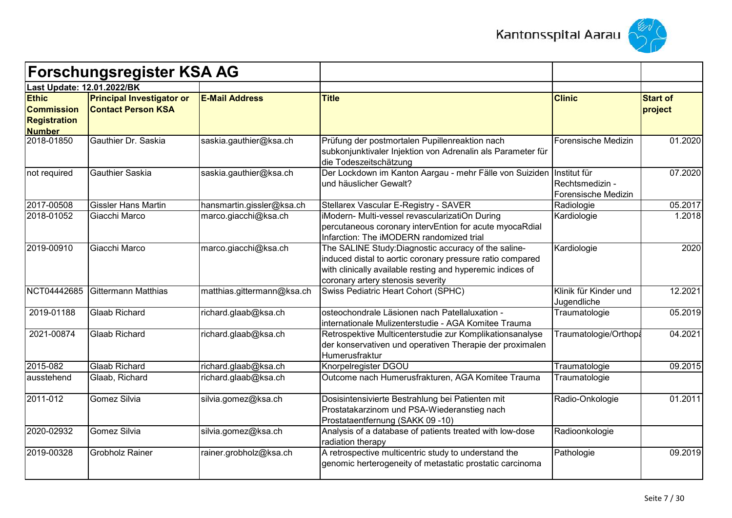



|                                                                           | <b>Forschungsregister KSA AG</b>                              |                            |                                                                                                                                                                                                                      |                                        |                            |
|---------------------------------------------------------------------------|---------------------------------------------------------------|----------------------------|----------------------------------------------------------------------------------------------------------------------------------------------------------------------------------------------------------------------|----------------------------------------|----------------------------|
| Last Update: 12.01.2022/BK                                                |                                                               |                            |                                                                                                                                                                                                                      |                                        |                            |
| <b>Ethic</b><br><b>Commission</b><br><b>Registration</b><br><b>Number</b> | <b>Principal Investigator or</b><br><b>Contact Person KSA</b> | <b>E-Mail Address</b>      | <b>Title</b>                                                                                                                                                                                                         | <b>Clinic</b>                          | <b>Start of</b><br>project |
| 2018-01850                                                                | Gauthier Dr. Saskia                                           | saskia.gauthier@ksa.ch     | Prüfung der postmortalen Pupillenreaktion nach<br>subkonjunktivaler Injektion von Adrenalin als Parameter für<br>die Todeszeitschätzung                                                                              | Forensische Medizin                    | 01.2020                    |
| not required                                                              | <b>Gauthier Saskia</b>                                        | saskia.gauthier@ksa.ch     | Der Lockdown im Kanton Aargau - mehr Fälle von Suiziden Institut für<br>und häuslicher Gewalt?                                                                                                                       | Rechtsmedizin -<br>Forensische Medizin | 07.2020                    |
| 2017-00508                                                                | <b>Gissler Hans Martin</b>                                    | hansmartin.gissler@ksa.ch  | Stellarex Vascular E-Registry - SAVER                                                                                                                                                                                | Radiologie                             | 05.2017                    |
| 2018-01052                                                                | Giacchi Marco                                                 | marco.giacchi@ksa.ch       | iModern- Multi-vessel revascularizatiOn During<br>percutaneous coronary intervEntion for acute myocaRdial<br>Infarction: The iMODERN randomized trial                                                                | Kardiologie                            | 1.2018                     |
| 2019-00910                                                                | Giacchi Marco                                                 | marco.giacchi@ksa.ch       | The SALINE Study: Diagnostic accuracy of the saline-<br>induced distal to aortic coronary pressure ratio compared<br>with clinically available resting and hyperemic indices of<br>coronary artery stenosis severity | Kardiologie                            | 2020                       |
| NCT04442685                                                               | Gittermann Matthias                                           | matthias.gittermann@ksa.ch | Swiss Pediatric Heart Cohort (SPHC)                                                                                                                                                                                  | Klinik für Kinder und<br>Jugendliche   | 12.2021                    |
| 2019-01188                                                                | <b>Glaab Richard</b>                                          | richard.glaab@ksa.ch       | osteochondrale Läsionen nach Patellaluxation -<br>internationale Mulizenterstudie - AGA Komitee Trauma                                                                                                               | Traumatologie                          | 05.2019                    |
| 2021-00874                                                                | <b>Glaab Richard</b>                                          | richard.glaab@ksa.ch       | Retrospektive Multicenterstudie zur Komplikationsanalyse<br>der konservativen und operativen Therapie der proximalen<br>Humerusfraktur                                                                               | Traumatologie/Orthopa                  | 04.2021                    |
| 2015-082                                                                  | Glaab Richard                                                 | richard.glaab@ksa.ch       | Knorpelregister DGOU                                                                                                                                                                                                 | Traumatologie                          | 09.2015                    |
| ausstehend                                                                | Glaab, Richard                                                | richard.glaab@ksa.ch       | Outcome nach Humerusfrakturen, AGA Komitee Trauma                                                                                                                                                                    | Traumatologie                          |                            |
| 2011-012                                                                  | Gomez Silvia                                                  | silvia.gomez@ksa.ch        | Dosisintensivierte Bestrahlung bei Patienten mit<br>Prostatakarzinom und PSA-Wiederanstieg nach<br>Prostataentfernung (SAKK 09 -10)                                                                                  | Radio-Onkologie                        | 01.2011                    |
| 2020-02932                                                                | Gomez Silvia                                                  | silvia.gomez@ksa.ch        | Analysis of a database of patients treated with low-dose<br>radiation therapy                                                                                                                                        | Radioonkologie                         |                            |
| 2019-00328                                                                | <b>Grobholz Rainer</b>                                        | rainer.grobholz@ksa.ch     | A retrospective multicentric study to understand the<br>genomic herterogeneity of metastatic prostatic carcinoma                                                                                                     | Pathologie                             | 09.2019                    |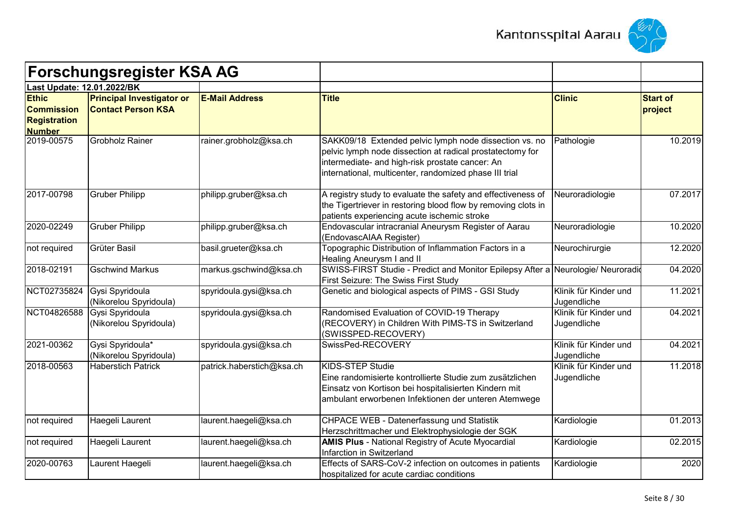



| <b>Forschungsregister KSA AG</b>                                          |                                                               |                           |                                                                                                                                                                                                                                  |                                      |                            |
|---------------------------------------------------------------------------|---------------------------------------------------------------|---------------------------|----------------------------------------------------------------------------------------------------------------------------------------------------------------------------------------------------------------------------------|--------------------------------------|----------------------------|
| <b>Last Update: 12.01.2022/BK</b>                                         |                                                               |                           |                                                                                                                                                                                                                                  |                                      |                            |
| <b>Ethic</b><br><b>Commission</b><br><b>Registration</b><br><b>Number</b> | <b>Principal Investigator or</b><br><b>Contact Person KSA</b> | <b>E-Mail Address</b>     | <b>Title</b>                                                                                                                                                                                                                     | <b>Clinic</b>                        | <b>Start of</b><br>project |
| 2019-00575                                                                | <b>Grobholz Rainer</b>                                        | rainer.grobholz@ksa.ch    | SAKK09/18 Extended pelvic lymph node dissection vs. no<br>pelvic lymph node dissection at radical prostatectomy for<br>intermediate- and high-risk prostate cancer: An<br>international, multicenter, randomized phase III trial | Pathologie                           | 10.2019                    |
| 2017-00798                                                                | <b>Gruber Philipp</b>                                         | philipp.gruber@ksa.ch     | A registry study to evaluate the safety and effectiveness of<br>the Tigertriever in restoring blood flow by removing clots in<br>patients experiencing acute ischemic stroke                                                     | Neuroradiologie                      | 07.2017                    |
| 2020-02249                                                                | <b>Gruber Philipp</b>                                         | philipp.gruber@ksa.ch     | Endovascular intracranial Aneurysm Register of Aarau<br>(EndovascAIAA Register)                                                                                                                                                  | Neuroradiologie                      | 10.2020                    |
| not required                                                              | <b>Grüter Basil</b>                                           | basil.grueter@ksa.ch      | Topographic Distribution of Inflammation Factors in a<br>Healing Aneurysm I and II                                                                                                                                               | Neurochirurgie                       | 12.2020                    |
| 2018-02191                                                                | <b>Gschwind Markus</b>                                        | markus.gschwind@ksa.ch    | SWISS-FIRST Studie - Predict and Monitor Epilepsy After a Neurologie/ Neuroradio<br>First Seizure: The Swiss First Study                                                                                                         |                                      | 04.2020                    |
| NCT02735824                                                               | Gysi Spyridoula<br>(Nikorelou Spyridoula)                     | spyridoula.gysi@ksa.ch    | Genetic and biological aspects of PIMS - GSI Study                                                                                                                                                                               | Klinik für Kinder und<br>Jugendliche | 11.2021                    |
| NCT04826588                                                               | Gysi Spyridoula<br>(Nikorelou Spyridoula)                     | spyridoula.gysi@ksa.ch    | Randomised Evaluation of COVID-19 Therapy<br>(RECOVERY) in Children With PIMS-TS in Switzerland<br>(SWISSPED-RECOVERY)                                                                                                           | Klinik für Kinder und<br>Jugendliche | 04.2021                    |
| 2021-00362                                                                | Gysi Spyridoula*<br>(Nikorelou Spyridoula)                    | spyridoula.gysi@ksa.ch    | SwissPed-RECOVERY                                                                                                                                                                                                                | Klinik für Kinder und<br>Jugendliche | 04.2021                    |
| 2018-00563                                                                | <b>Haberstich Patrick</b>                                     | patrick.haberstich@ksa.ch | KIDS-STEP Studie<br>Eine randomisierte kontrollierte Studie zum zusätzlichen<br>Einsatz von Kortison bei hospitalisierten Kindern mit<br>ambulant erworbenen Infektionen der unteren Atemwege                                    | Klinik für Kinder und<br>Jugendliche | 11.2018                    |
| not required                                                              | Haegeli Laurent                                               | laurent.haegeli@ksa.ch    | CHPACE WEB - Datenerfassung und Statistik<br>Herzschrittmacher und Elektrophysiologie der SGK                                                                                                                                    | Kardiologie                          | 01.2013                    |
| not required                                                              | Haegeli Laurent                                               | laurent.haegeli@ksa.ch    | <b>AMIS Plus - National Registry of Acute Myocardial</b><br>Infarction in Switzerland                                                                                                                                            | Kardiologie                          | 02.2015                    |
| 2020-00763                                                                | Laurent Haegeli                                               | laurent.haegeli@ksa.ch    | Effects of SARS-CoV-2 infection on outcomes in patients<br>hospitalized for acute cardiac conditions                                                                                                                             | Kardiologie                          | 2020                       |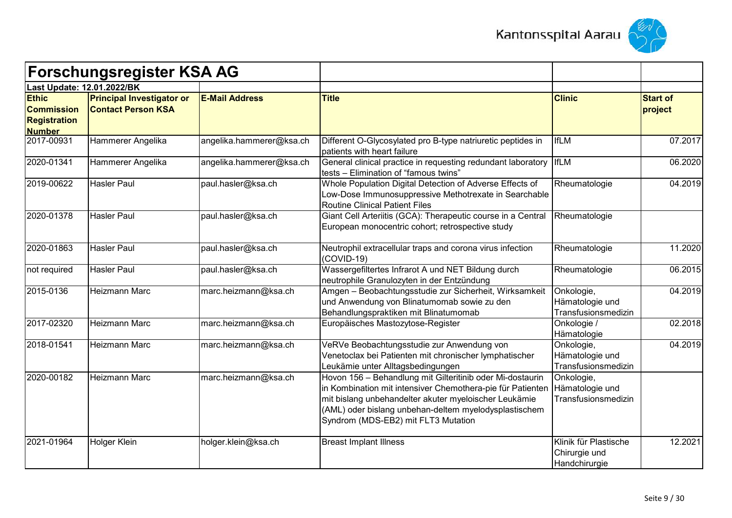



|                                                                           | <b>Forschungsregister KSA AG</b>                              |                          |                                                                                                                                                                                                                                                                                  |                                                         |                            |
|---------------------------------------------------------------------------|---------------------------------------------------------------|--------------------------|----------------------------------------------------------------------------------------------------------------------------------------------------------------------------------------------------------------------------------------------------------------------------------|---------------------------------------------------------|----------------------------|
|                                                                           | Last Update: 12.01.2022/BK                                    |                          |                                                                                                                                                                                                                                                                                  |                                                         |                            |
| <b>Ethic</b><br><b>Commission</b><br><b>Registration</b><br><b>Number</b> | <b>Principal Investigator or</b><br><b>Contact Person KSA</b> | <b>E-Mail Address</b>    | <b>Title</b>                                                                                                                                                                                                                                                                     | <b>Clinic</b>                                           | <b>Start of</b><br>project |
| 2017-00931                                                                | Hammerer Angelika                                             | angelika.hammerer@ksa.ch | Different O-Glycosylated pro B-type natriuretic peptides in<br>patients with heart failure                                                                                                                                                                                       | <b>IfLM</b>                                             | 07.2017                    |
| 2020-01341                                                                | Hammerer Angelika                                             | angelika.hammerer@ksa.ch | General clinical practice in requesting redundant laboratory   IfLM<br>tests - Elimination of "famous twins"                                                                                                                                                                     |                                                         | 06.2020                    |
| 2019-00622                                                                | <b>Hasler Paul</b>                                            | paul.hasler@ksa.ch       | Whole Population Digital Detection of Adverse Effects of<br>Low-Dose Immunosuppressive Methotrexate in Searchable<br><b>Routine Clinical Patient Files</b>                                                                                                                       | Rheumatologie                                           | 04.2019                    |
| 2020-01378                                                                | <b>Hasler Paul</b>                                            | paul.hasler@ksa.ch       | Giant Cell Arteriitis (GCA): Therapeutic course in a Central<br>European monocentric cohort; retrospective study                                                                                                                                                                 | Rheumatologie                                           |                            |
| 2020-01863                                                                | <b>Hasler Paul</b>                                            | paul.hasler@ksa.ch       | Neutrophil extracellular traps and corona virus infection<br>(COVID-19)                                                                                                                                                                                                          | Rheumatologie                                           | 11.2020                    |
| not required                                                              | <b>Hasler Paul</b>                                            | paul.hasler@ksa.ch       | Wassergefiltertes Infrarot A und NET Bildung durch<br>neutrophile Granulozyten in der Entzündung                                                                                                                                                                                 | Rheumatologie                                           | 06.2015                    |
| 2015-0136                                                                 | <b>Heizmann Marc</b>                                          | marc.heizmann@ksa.ch     | Amgen - Beobachtungsstudie zur Sicherheit, Wirksamkeit<br>und Anwendung von Blinatumomab sowie zu den<br>Behandlungspraktiken mit Blinatumomab                                                                                                                                   | Onkologie,<br>Hämatologie und<br>Transfusionsmedizin    | 04.2019                    |
| 2017-02320                                                                | <b>Heizmann Marc</b>                                          | marc.heizmann@ksa.ch     | Europäisches Mastozytose-Register                                                                                                                                                                                                                                                | Onkologie /<br>Hämatologie                              | 02.2018                    |
| 2018-01541                                                                | Heizmann Marc                                                 | marc.heizmann@ksa.ch     | VeRVe Beobachtungsstudie zur Anwendung von<br>Venetoclax bei Patienten mit chronischer lymphatischer<br>Leukämie unter Alltagsbedingungen                                                                                                                                        | Onkologie,<br>Hämatologie und<br>Transfusionsmedizin    | 04.2019                    |
| 2020-00182                                                                | <b>Heizmann Marc</b>                                          | marc.heizmann@ksa.ch     | Hovon 156 - Behandlung mit Gilteritinib oder Mi-dostaurin<br>in Kombination mit intensiver Chemothera-pie für Patienten<br>mit bislang unbehandelter akuter myeloischer Leukämie<br>(AML) oder bislang unbehan-deltem myelodysplastischem<br>Syndrom (MDS-EB2) mit FLT3 Mutation | Onkologie,<br>Hämatologie und<br>Transfusionsmedizin    |                            |
| 2021-01964                                                                | Holger Klein                                                  | holger.klein@ksa.ch      | <b>Breast Implant Illness</b>                                                                                                                                                                                                                                                    | Klinik für Plastische<br>Chirurgie und<br>Handchirurgie | 12.2021                    |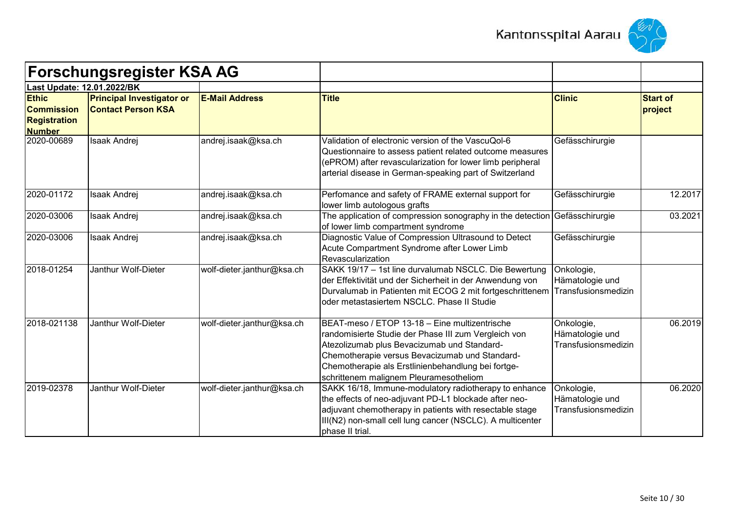



| <b>Forschungsregister KSA AG</b><br>Last Update: 12.01.2022/BK            |                                                               |                            |                                                                                                                                                                                                                                                                                                        |                                                      |                            |
|---------------------------------------------------------------------------|---------------------------------------------------------------|----------------------------|--------------------------------------------------------------------------------------------------------------------------------------------------------------------------------------------------------------------------------------------------------------------------------------------------------|------------------------------------------------------|----------------------------|
|                                                                           |                                                               |                            |                                                                                                                                                                                                                                                                                                        |                                                      |                            |
| <b>Ethic</b><br><b>Commission</b><br><b>Registration</b><br><b>Number</b> | <b>Principal Investigator or</b><br><b>Contact Person KSA</b> | <b>E-Mail Address</b>      | <b>Title</b>                                                                                                                                                                                                                                                                                           | <b>Clinic</b>                                        | <b>Start of</b><br>project |
| 2020-00689                                                                | <b>Isaak Andrej</b>                                           | andrej.isaak@ksa.ch        | Validation of electronic version of the VascuQol-6<br>Questionnaire to assess patient related outcome measures<br>(ePROM) after revascularization for lower limb peripheral<br>arterial disease in German-speaking part of Switzerland                                                                 | Gefässchirurgie                                      |                            |
| 2020-01172                                                                | <b>Isaak Andrej</b>                                           | andrej.isaak@ksa.ch        | Perfomance and safety of FRAME external support for<br>lower limb autologous grafts                                                                                                                                                                                                                    | Gefässchirurgie                                      | 12.2017                    |
| 2020-03006                                                                | <b>Isaak Andrej</b>                                           | andrej.isaak@ksa.ch        | The application of compression sonography in the detection Gefässchirurgie<br>of lower limb compartment syndrome                                                                                                                                                                                       |                                                      | 03.2021                    |
| 2020-03006                                                                | Isaak Andrej                                                  | andrej.isaak@ksa.ch        | Diagnostic Value of Compression Ultrasound to Detect<br>Acute Compartment Syndrome after Lower Limb<br>Revascularization                                                                                                                                                                               | Gefässchirurgie                                      |                            |
| 2018-01254                                                                | Janthur Wolf-Dieter                                           | wolf-dieter.janthur@ksa.ch | SAKK 19/17 - 1st line durvalumab NSCLC. Die Bewertung<br>der Effektivität und der Sicherheit in der Anwendung von<br>Durvalumab in Patienten mit ECOG 2 mit fortgeschrittenem Transfusionsmedizin<br>oder metastasiertem NSCLC. Phase II Studie                                                        | Onkologie,<br>Hämatologie und                        |                            |
| 2018-021138                                                               | Janthur Wolf-Dieter                                           | wolf-dieter.janthur@ksa.ch | BEAT-meso / ETOP 13-18 - Eine multizentrische<br>randomisierte Studie der Phase III zum Vergleich von<br>Atezolizumab plus Bevacizumab und Standard-<br>Chemotherapie versus Bevacizumab und Standard-<br>Chemotherapie als Erstlinienbehandlung bei fortge-<br>schrittenem malignem Pleuramesotheliom | Onkologie,<br>Hämatologie und<br>Transfusionsmedizin | 06.2019                    |
| 2019-02378                                                                | Janthur Wolf-Dieter                                           | wolf-dieter.janthur@ksa.ch | SAKK 16/18, Immune-modulatory radiotherapy to enhance<br>the effects of neo-adjuvant PD-L1 blockade after neo-<br>adjuvant chemotherapy in patients with resectable stage<br>III(N2) non-small cell lung cancer (NSCLC). A multicenter<br>phase II trial                                               | Onkologie,<br>Hämatologie und<br>Transfusionsmedizin | 06.2020                    |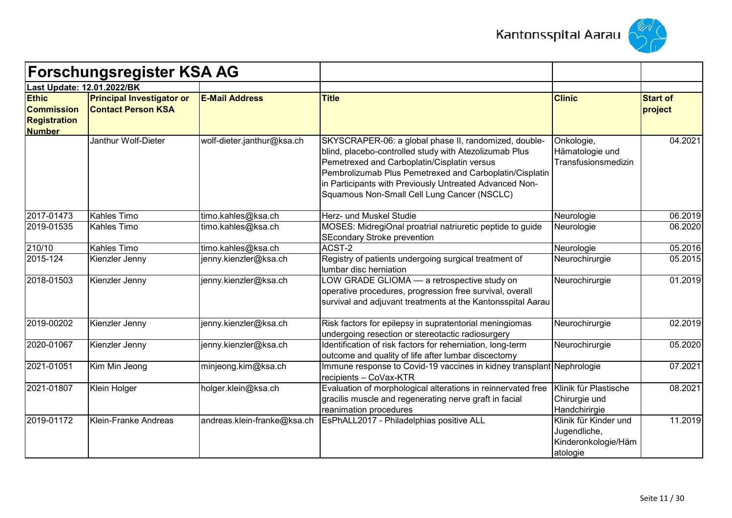



|                                                                           | <b>Forschungsregister KSA AG</b>                              |                             |                                                                                                                                                                                                                                                                                                                                     |                                                                          |                            |
|---------------------------------------------------------------------------|---------------------------------------------------------------|-----------------------------|-------------------------------------------------------------------------------------------------------------------------------------------------------------------------------------------------------------------------------------------------------------------------------------------------------------------------------------|--------------------------------------------------------------------------|----------------------------|
|                                                                           | Last Update: 12.01.2022/BK                                    |                             |                                                                                                                                                                                                                                                                                                                                     |                                                                          |                            |
| <b>Ethic</b><br><b>Commission</b><br><b>Registration</b><br><b>Number</b> | <b>Principal Investigator or</b><br><b>Contact Person KSA</b> | <b>E-Mail Address</b>       | <b>Title</b>                                                                                                                                                                                                                                                                                                                        | <b>Clinic</b>                                                            | <b>Start of</b><br>project |
|                                                                           | Janthur Wolf-Dieter                                           | wolf-dieter.janthur@ksa.ch  | SKYSCRAPER-06: a global phase II, randomized, double-<br>blind, placebo-controlled study with Atezolizumab Plus<br>Pemetrexed and Carboplatin/Cisplatin versus<br>Pembrolizumab Plus Pemetrexed and Carboplatin/Cisplatin<br>in Participants with Previously Untreated Advanced Non-<br>Squamous Non-Small Cell Lung Cancer (NSCLC) | Onkologie,<br>Hämatologie und<br>Transfusionsmedizin                     | 04.2021                    |
| 2017-01473                                                                | <b>Kahles Timo</b>                                            | timo.kahles@ksa.ch          | Herz- und Muskel Studie                                                                                                                                                                                                                                                                                                             | Neurologie                                                               | 06.2019                    |
| 2019-01535                                                                | Kahles Timo                                                   | timo.kahles@ksa.ch          | MOSES: MidregiOnal proatrial natriuretic peptide to guide<br><b>SEcondary Stroke prevention</b>                                                                                                                                                                                                                                     | Neurologie                                                               | 06.2020                    |
| 210/10                                                                    | Kahles Timo                                                   | timo.kahles@ksa.ch          | ACST-2                                                                                                                                                                                                                                                                                                                              | Neurologie                                                               | 05.2016                    |
| 2015-124                                                                  | Kienzler Jenny                                                | jenny.kienzler@ksa.ch       | Registry of patients undergoing surgical treatment of<br>lumbar disc herniation                                                                                                                                                                                                                                                     | Neurochirurgie                                                           | 05.2015                    |
| 2018-01503                                                                | Kienzler Jenny                                                | jenny.kienzler@ksa.ch       | LOW GRADE GLIOMA - a retrospective study on<br>operative procedures, progression free survival, overall<br>survival and adjuvant treatments at the Kantonsspital Aarau                                                                                                                                                              | Neurochirurgie                                                           | 01.2019                    |
| 2019-00202                                                                | Kienzler Jenny                                                | jenny.kienzler@ksa.ch       | Risk factors for epilepsy in supratentorial meningiomas<br>undergoing resection or stereotactic radiosurgery                                                                                                                                                                                                                        | Neurochirurgie                                                           | 02.2019                    |
| 2020-01067                                                                | Kienzler Jenny                                                | jenny.kienzler@ksa.ch       | Identification of risk factors for reherniation, long-term<br>outcome and quality of life after lumbar discectomy                                                                                                                                                                                                                   | Neurochirurgie                                                           | 05.2020                    |
| 2021-01051                                                                | Kim Min Jeong                                                 | minjeong.kim@ksa.ch         | Immune response to Covid-19 vaccines in kidney transplant Nephrologie<br>recipients - CoVax-KTR                                                                                                                                                                                                                                     |                                                                          | 07.2021                    |
| 2021-01807                                                                | Klein Holger                                                  | holger.klein@ksa.ch         | Evaluation of morphological alterations in reinnervated free<br>gracilis muscle and regenerating nerve graft in facial<br>reanimation procedures                                                                                                                                                                                    | Klinik für Plastische<br>Chirurgie und<br>Handchirirgie                  | 08.2021                    |
| 2019-01172                                                                | <b>Klein-Franke Andreas</b>                                   | andreas.klein-franke@ksa.ch | EsPhALL2017 - Philadelphias positive ALL                                                                                                                                                                                                                                                                                            | Klinik für Kinder und<br>Jugendliche,<br>Kinderonkologie/Häm<br>atologie | 11.2019                    |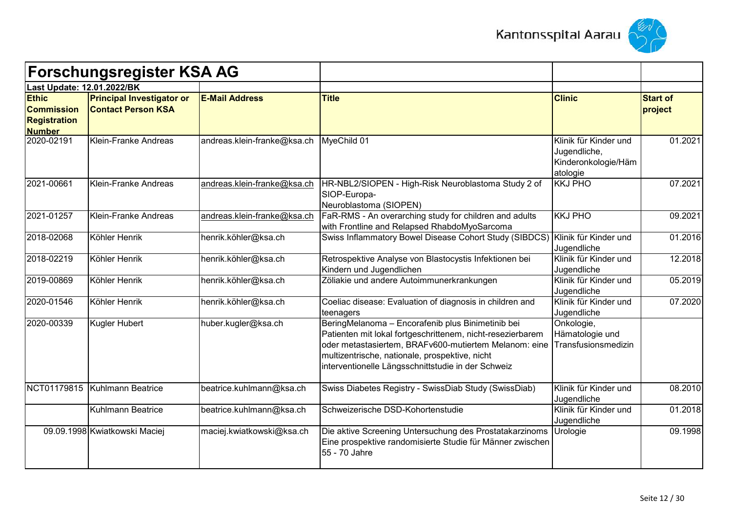



|                                                                           | <b>Forschungsregister KSA AG</b>                              |                             |                                                                                                                                                                                                                                                                                  |                                                                          |                            |
|---------------------------------------------------------------------------|---------------------------------------------------------------|-----------------------------|----------------------------------------------------------------------------------------------------------------------------------------------------------------------------------------------------------------------------------------------------------------------------------|--------------------------------------------------------------------------|----------------------------|
| Last Update: 12.01.2022/BK                                                |                                                               |                             |                                                                                                                                                                                                                                                                                  |                                                                          |                            |
| <b>Ethic</b><br><b>Commission</b><br><b>Registration</b><br><b>Number</b> | <b>Principal Investigator or</b><br><b>Contact Person KSA</b> | <b>E-Mail Address</b>       | <b>Title</b>                                                                                                                                                                                                                                                                     | <b>Clinic</b>                                                            | <b>Start of</b><br>project |
| 2020-02191                                                                | Klein-Franke Andreas                                          | andreas.klein-franke@ksa.ch | MyeChild 01                                                                                                                                                                                                                                                                      | Klinik für Kinder und<br>Jugendliche,<br>Kinderonkologie/Häm<br>atologie | 01.2021                    |
| 2021-00661                                                                | Klein-Franke Andreas                                          | andreas.klein-franke@ksa.ch | HR-NBL2/SIOPEN - High-Risk Neuroblastoma Study 2 of<br>SIOP-Europa-<br>Neuroblastoma (SIOPEN)                                                                                                                                                                                    | <b>KKJ PHO</b>                                                           | 07.2021                    |
| 2021-01257                                                                | Klein-Franke Andreas                                          | andreas.klein-franke@ksa.ch | FaR-RMS - An overarching study for children and adults<br>with Frontline and Relapsed RhabdoMyoSarcoma                                                                                                                                                                           | <b>KKJ PHO</b>                                                           | 09.2021                    |
| 2018-02068                                                                | Köhler Henrik                                                 | henrik.köhler@ksa.ch        | Swiss Inflammatory Bowel Disease Cohort Study (SIBDCS)                                                                                                                                                                                                                           | Klinik für Kinder und<br>Jugendliche                                     | 01.2016                    |
| 2018-02219                                                                | Köhler Henrik                                                 | henrik.köhler@ksa.ch        | Retrospektive Analyse von Blastocystis Infektionen bei<br>Kindern und Jugendlichen                                                                                                                                                                                               | Klinik für Kinder und<br>Jugendliche                                     | 12.2018                    |
| 2019-00869                                                                | Köhler Henrik                                                 | henrik.köhler@ksa.ch        | Zöliakie und andere Autoimmunerkrankungen                                                                                                                                                                                                                                        | Klinik für Kinder und<br>Jugendliche                                     | 05.2019                    |
| 2020-01546                                                                | Köhler Henrik                                                 | henrik.köhler@ksa.ch        | Coeliac disease: Evaluation of diagnosis in children and<br>teenagers                                                                                                                                                                                                            | Klinik für Kinder und<br>Jugendliche                                     | 07.2020                    |
| 2020-00339                                                                | <b>Kugler Hubert</b>                                          | huber.kugler@ksa.ch         | BeringMelanoma - Encorafenib plus Binimetinib bei<br>Patienten mit lokal fortgeschrittenem, nicht-resezierbarem<br>oder metastasiertem, BRAFv600-mutiertem Melanom: eine<br>multizentrische, nationale, prospektive, nicht<br>interventionelle Längsschnittstudie in der Schweiz | Onkologie,<br>Hämatologie und<br>Transfusionsmedizin                     |                            |
| NCT01179815                                                               | Kuhlmann Beatrice                                             | beatrice.kuhlmann@ksa.ch    | Swiss Diabetes Registry - SwissDiab Study (SwissDiab)                                                                                                                                                                                                                            | Klinik für Kinder und<br>Jugendliche                                     | 08.2010                    |
|                                                                           | Kuhlmann Beatrice                                             | beatrice.kuhlmann@ksa.ch    | Schweizerische DSD-Kohortenstudie                                                                                                                                                                                                                                                | Klinik für Kinder und<br>Jugendliche                                     | 01.2018                    |
|                                                                           | 09.09.1998 Kwiatkowski Maciej                                 | maciej.kwiatkowski@ksa.ch   | Die aktive Screening Untersuchung des Prostatakarzinoms<br>Eine prospektive randomisierte Studie für Männer zwischen<br>55 - 70 Jahre                                                                                                                                            | Urologie                                                                 | 09.1998                    |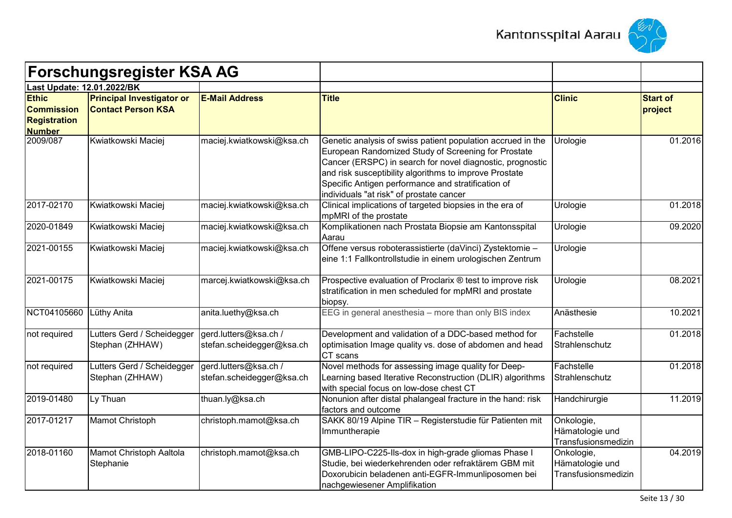



|                                                                           | <b>Forschungsregister KSA AG</b>                              |                                                    |                                                                                                                                                                                                                                                                                                                                             |                                                      |                            |
|---------------------------------------------------------------------------|---------------------------------------------------------------|----------------------------------------------------|---------------------------------------------------------------------------------------------------------------------------------------------------------------------------------------------------------------------------------------------------------------------------------------------------------------------------------------------|------------------------------------------------------|----------------------------|
| Last Update: 12.01.2022/BK                                                |                                                               |                                                    |                                                                                                                                                                                                                                                                                                                                             |                                                      |                            |
| <b>Ethic</b><br><b>Commission</b><br><b>Registration</b><br><b>Number</b> | <b>Principal Investigator or</b><br><b>Contact Person KSA</b> | <b>E-Mail Address</b>                              | <b>Title</b>                                                                                                                                                                                                                                                                                                                                | <b>Clinic</b>                                        | <b>Start of</b><br>project |
| 2009/087                                                                  | Kwiatkowski Maciej                                            | maciej.kwiatkowski@ksa.ch                          | Genetic analysis of swiss patient population accrued in the<br>European Randomized Study of Screening for Prostate<br>Cancer (ERSPC) in search for novel diagnostic, prognostic<br>and risk susceptibility algorithms to improve Prostate<br>Specific Antigen performance and stratification of<br>individuals "at risk" of prostate cancer | Urologie                                             | 01.2016                    |
| 2017-02170                                                                | Kwiatkowski Maciej                                            | maciej.kwiatkowski@ksa.ch                          | Clinical implications of targeted biopsies in the era of<br>mpMRI of the prostate                                                                                                                                                                                                                                                           | Urologie                                             | 01.2018                    |
| 2020-01849                                                                | Kwiatkowski Maciej                                            | maciej.kwiatkowski@ksa.ch                          | Komplikationen nach Prostata Biopsie am Kantonsspital<br>Aarau                                                                                                                                                                                                                                                                              | Urologie                                             | 09.2020                    |
| 2021-00155                                                                | Kwiatkowski Maciej                                            | maciej.kwiatkowski@ksa.ch                          | Offene versus roboterassistierte (daVinci) Zystektomie -<br>eine 1:1 Fallkontrollstudie in einem urologischen Zentrum                                                                                                                                                                                                                       | Urologie                                             |                            |
| 2021-00175                                                                | Kwiatkowski Maciej                                            | marcej.kwiatkowski@ksa.ch                          | Prospective evaluation of Proclarix ® test to improve risk<br>stratification in men scheduled for mpMRI and prostate<br>biopsy.                                                                                                                                                                                                             | Urologie                                             | 08.2021                    |
| NCT04105660                                                               | Lüthy Anita                                                   | anita.luethy@ksa.ch                                | EEG in general anesthesia - more than only BIS index                                                                                                                                                                                                                                                                                        | Anästhesie                                           | 10.2021                    |
| not required                                                              | Lutters Gerd / Scheidegger<br>Stephan (ZHHAW)                 | gerd.lutters@ksa.ch /<br>stefan.scheidegger@ksa.ch | Development and validation of a DDC-based method for<br>optimisation Image quality vs. dose of abdomen and head<br>CT scans                                                                                                                                                                                                                 | Fachstelle<br>Strahlenschutz                         | 01.2018                    |
| not required                                                              | Lutters Gerd / Scheidegger<br>Stephan (ZHHAW)                 | gerd.lutters@ksa.ch /<br>stefan.scheidegger@ksa.ch | Novel methods for assessing image quality for Deep-<br>Learning based Iterative Reconstruction (DLIR) algorithms<br>with special focus on low-dose chest CT                                                                                                                                                                                 | Fachstelle<br>Strahlenschutz                         | 01.2018                    |
| 2019-01480                                                                | Ly Thuan                                                      | thuan.ly@ksa.ch                                    | Nonunion after distal phalangeal fracture in the hand: risk<br>factors and outcome                                                                                                                                                                                                                                                          | Handchirurgie                                        | 11.2019                    |
| 2017-01217                                                                | Mamot Christoph                                               | christoph.mamot@ksa.ch                             | SAKK 80/19 Alpine TIR - Registerstudie für Patienten mit<br>Immuntherapie                                                                                                                                                                                                                                                                   | Onkologie,<br>Hämatologie und<br>Transfusionsmedizin |                            |
| 2018-01160                                                                | Mamot Christoph Aaltola<br>Stephanie                          | christoph.mamot@ksa.ch                             | GMB-LIPO-C225-Ils-dox in high-grade gliomas Phase I<br>Studie, bei wiederkehrenden oder refraktärem GBM mit<br>Doxorubicin beladenen anti-EGFR-Immunliposomen bei<br>nachgewiesener Amplifikation                                                                                                                                           | Onkologie,<br>Hämatologie und<br>Transfusionsmedizin | 04.2019                    |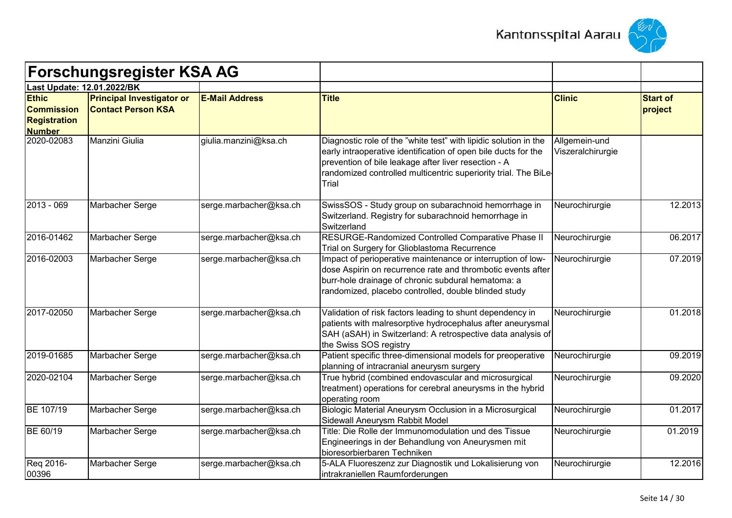



|                                                                           | <b>Forschungsregister KSA AG</b>                              |                        |                                                                                                                                                                                                                                                                        |                                    |                            |
|---------------------------------------------------------------------------|---------------------------------------------------------------|------------------------|------------------------------------------------------------------------------------------------------------------------------------------------------------------------------------------------------------------------------------------------------------------------|------------------------------------|----------------------------|
|                                                                           | Last Update: 12.01.2022/BK                                    |                        |                                                                                                                                                                                                                                                                        |                                    |                            |
| <b>Ethic</b><br><b>Commission</b><br><b>Registration</b><br><b>Number</b> | <b>Principal Investigator or</b><br><b>Contact Person KSA</b> | <b>E-Mail Address</b>  | <b>Title</b>                                                                                                                                                                                                                                                           | <b>Clinic</b>                      | <b>Start of</b><br>project |
| 2020-02083                                                                | Manzini Giulia                                                | giulia.manzini@ksa.ch  | Diagnostic role of the "white test" with lipidic solution in the<br>early intraoperative identification of open bile ducts for the<br>prevention of bile leakage after liver resection - A<br>randomized controlled multicentric superiority trial. The BiLe-<br>Trial | Allgemein-und<br>Viszeralchirurgie |                            |
| 2013 - 069                                                                | Marbacher Serge                                               | serge.marbacher@ksa.ch | SwissSOS - Study group on subarachnoid hemorrhage in<br>Switzerland. Registry for subarachnoid hemorrhage in<br>Switzerland                                                                                                                                            | Neurochirurgie                     | 12.2013                    |
| 2016-01462                                                                | Marbacher Serge                                               | serge.marbacher@ksa.ch | RESURGE-Randomized Controlled Comparative Phase II<br>Trial on Surgery for Glioblastoma Recurrence                                                                                                                                                                     | Neurochirurgie                     | 06.2017                    |
| 2016-02003                                                                | Marbacher Serge                                               | serge.marbacher@ksa.ch | Impact of perioperative maintenance or interruption of low-<br>dose Aspirin on recurrence rate and thrombotic events after<br>burr-hole drainage of chronic subdural hematoma: a<br>randomized, placebo controlled, double blinded study                               | Neurochirurgie                     | 07.2019                    |
| 2017-02050                                                                | Marbacher Serge                                               | serge.marbacher@ksa.ch | Validation of risk factors leading to shunt dependency in<br>patients with malresorptive hydrocephalus after aneurysmal<br>SAH (aSAH) in Switzerland: A retrospective data analysis of<br>the Swiss SOS registry                                                       | Neurochirurgie                     | 01.2018                    |
| 2019-01685                                                                | Marbacher Serge                                               | serge.marbacher@ksa.ch | Patient specific three-dimensional models for preoperative<br>planning of intracranial aneurysm surgery                                                                                                                                                                | Neurochirurgie                     | 09.2019                    |
| 2020-02104                                                                | Marbacher Serge                                               | serge.marbacher@ksa.ch | True hybrid (combined endovascular and microsurgical<br>treatment) operations for cerebral aneurysms in the hybrid<br>operating room                                                                                                                                   | Neurochirurgie                     | 09.2020                    |
| BE 107/19                                                                 | Marbacher Serge                                               | serge.marbacher@ksa.ch | Biologic Material Aneurysm Occlusion in a Microsurgical<br>Sidewall Aneurysm Rabbit Model                                                                                                                                                                              | Neurochirurgie                     | 01.2017                    |
| BE 60/19                                                                  | Marbacher Serge                                               | serge.marbacher@ksa.ch | Title: Die Rolle der Immunomodulation und des Tissue<br>Engineerings in der Behandlung von Aneurysmen mit<br>bioresorbierbaren Techniken                                                                                                                               | Neurochirurgie                     | 01.2019                    |
| Req 2016-<br>00396                                                        | Marbacher Serge                                               | serge.marbacher@ksa.ch | 5-ALA Fluoreszenz zur Diagnostik und Lokalisierung von<br>intrakraniellen Raumforderungen                                                                                                                                                                              | Neurochirurgie                     | 12.2016                    |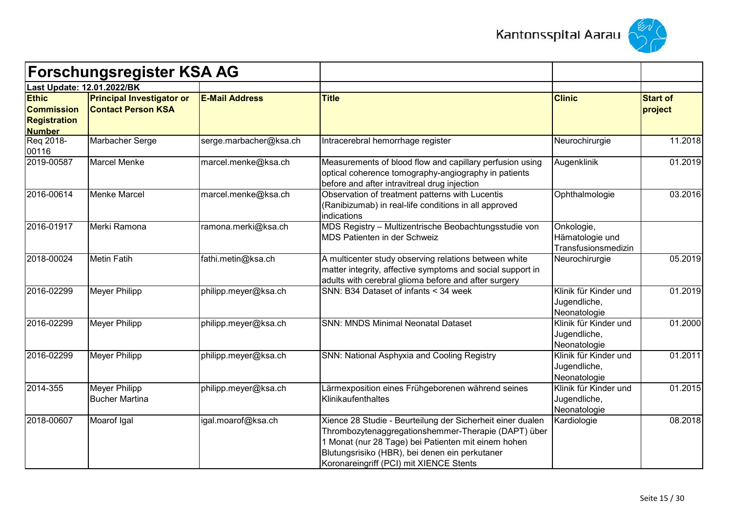



|                                                                           | <b>Forschungsregister KSA AG</b>                              |                        |                                                                                                                                                                                                                                                                       |                                                       |                            |
|---------------------------------------------------------------------------|---------------------------------------------------------------|------------------------|-----------------------------------------------------------------------------------------------------------------------------------------------------------------------------------------------------------------------------------------------------------------------|-------------------------------------------------------|----------------------------|
| Last Update: 12.01.2022/BK                                                |                                                               |                        |                                                                                                                                                                                                                                                                       |                                                       |                            |
| <b>Ethic</b><br><b>Commission</b><br><b>Registration</b><br><b>Number</b> | <b>Principal Investigator or</b><br><b>Contact Person KSA</b> | <b>E-Mail Address</b>  | <b>Title</b>                                                                                                                                                                                                                                                          | <b>Clinic</b>                                         | <b>Start of</b><br>project |
| Req 2018-<br>00116                                                        | Marbacher Serge                                               | serge.marbacher@ksa.ch | Intracerebral hemorrhage register                                                                                                                                                                                                                                     | Neurochirurgie                                        | 11.2018                    |
| 2019-00587                                                                | <b>Marcel Menke</b>                                           | marcel.menke@ksa.ch    | Measurements of blood flow and capillary perfusion using<br>optical coherence tomography-angiography in patients<br>before and after intravitreal drug injection                                                                                                      | Augenklinik                                           | 01.2019                    |
| 2016-00614                                                                | <b>Menke Marcel</b>                                           | marcel.menke@ksa.ch    | Observation of treatment patterns with Lucentis<br>(Ranibizumab) in real-life conditions in all approved<br>indications                                                                                                                                               | Ophthalmologie                                        | 03.2016                    |
| 2016-01917                                                                | Merki Ramona                                                  | ramona.merki@ksa.ch    | MDS Registry - Multizentrische Beobachtungsstudie von<br>MDS Patienten in der Schweiz                                                                                                                                                                                 | Onkologie,<br>Hämatologie und<br>Transfusionsmedizin  |                            |
| 2018-00024                                                                | <b>Metin Fatih</b>                                            | fathi.metin@ksa.ch     | A multicenter study observing relations between white<br>matter integrity, affective symptoms and social support in<br>adults with cerebral glioma before and after surgery                                                                                           | Neurochirurgie                                        | 05.2019                    |
| 2016-02299                                                                | Meyer Philipp                                                 | philipp.meyer@ksa.ch   | SNN: B34 Dataset of infants < 34 week                                                                                                                                                                                                                                 | Klinik für Kinder und<br>Jugendliche,<br>Neonatologie | 01.2019                    |
| 2016-02299                                                                | <b>Meyer Philipp</b>                                          | philipp.meyer@ksa.ch   | <b>SNN: MNDS Minimal Neonatal Dataset</b>                                                                                                                                                                                                                             | Klinik für Kinder und<br>Jugendliche,<br>Neonatologie | 01.2000                    |
| 2016-02299                                                                | Meyer Philipp                                                 | philipp.meyer@ksa.ch   | SNN: National Asphyxia and Cooling Registry                                                                                                                                                                                                                           | Klinik für Kinder und<br>Jugendliche,<br>Neonatologie | 01.2011                    |
| 2014-355                                                                  | Meyer Philipp<br><b>Bucher Martina</b>                        | philipp.meyer@ksa.ch   | Lärmexposition eines Frühgeborenen während seines<br>Klinikaufenthaltes                                                                                                                                                                                               | Klinik für Kinder und<br>Jugendliche,<br>Neonatologie | 01.2015                    |
| 2018-00607                                                                | Moarof Igal                                                   | igal.moarof@ksa.ch     | Xience 28 Studie - Beurteilung der Sicherheit einer dualen<br>Thrombozytenaggregationshemmer-Therapie (DAPT) über<br>1 Monat (nur 28 Tage) bei Patienten mit einem hohen<br>Blutungsrisiko (HBR), bei denen ein perkutaner<br>Koronareingriff (PCI) mit XIENCE Stents | Kardiologie                                           | 08.2018                    |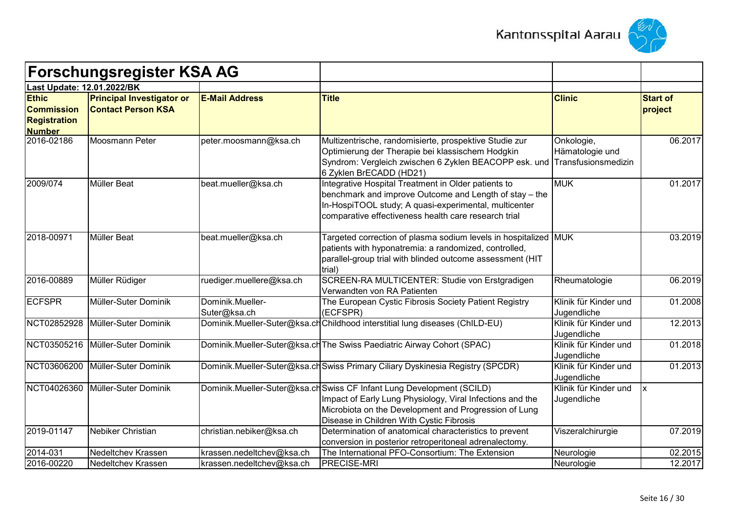



|                                                                           | <b>Forschungsregister KSA AG</b>                              |                                  |                                                                                                                                                                                                                                        |                                                      |                            |
|---------------------------------------------------------------------------|---------------------------------------------------------------|----------------------------------|----------------------------------------------------------------------------------------------------------------------------------------------------------------------------------------------------------------------------------------|------------------------------------------------------|----------------------------|
| Last Update: 12.01.2022/BK                                                |                                                               |                                  |                                                                                                                                                                                                                                        |                                                      |                            |
| <b>Ethic</b><br><b>Commission</b><br><b>Registration</b><br><b>Number</b> | <b>Principal Investigator or</b><br><b>Contact Person KSA</b> | <b>E-Mail Address</b>            | <b>Title</b>                                                                                                                                                                                                                           | <b>Clinic</b>                                        | <b>Start of</b><br>project |
| 2016-02186                                                                | Moosmann Peter                                                | peter.moosmann@ksa.ch            | Multizentrische, randomisierte, prospektive Studie zur<br>Optimierung der Therapie bei klassischem Hodgkin<br>Syndrom: Vergleich zwischen 6 Zyklen BEACOPP esk. und<br>6 Zyklen BrECADD (HD21)                                         | Onkologie,<br>Hämatologie und<br>Transfusionsmedizin | 06.2017                    |
| 2009/074                                                                  | Müller Beat                                                   | beat.mueller@ksa.ch              | Integrative Hospital Treatment in Older patients to<br>benchmark and improve Outcome and Length of stay - the<br>In-HospiTOOL study; A quasi-experimental, multicenter<br>comparative effectiveness health care research trial         | <b>MUK</b>                                           | 01.2017                    |
| 2018-00971                                                                | <b>Müller Beat</b>                                            | beat.mueller@ksa.ch              | Targeted correction of plasma sodium levels in hospitalized MUK<br>patients with hyponatremia: a randomized, controlled,<br>parallel-group trial with blinded outcome assessment (HIT<br>trial)                                        |                                                      | 03.2019                    |
| 2016-00889                                                                | Müller Rüdiger                                                | ruediger.muellere@ksa.ch         | SCREEN-RA MULTICENTER: Studie von Erstgradigen<br>Verwandten von RA Patienten                                                                                                                                                          | Rheumatologie                                        | 06.2019                    |
| <b>ECFSPR</b>                                                             | Müller-Suter Dominik                                          | Dominik.Mueller-<br>Suter@ksa.ch | The European Cystic Fibrosis Society Patient Registry<br>(ECFSPR)                                                                                                                                                                      | Klinik für Kinder und<br>Jugendliche                 | 01.2008                    |
|                                                                           | NCT02852928 Müller-Suter Dominik                              |                                  | Dominik.Mueller-Suter@ksa.chChildhood interstitial lung diseases (ChILD-EU)                                                                                                                                                            | Klinik für Kinder und<br>Jugendliche                 | 12.2013                    |
|                                                                           | NCT03505216 Müller-Suter Dominik                              |                                  | Dominik.Mueller-Suter@ksa.ch The Swiss Paediatric Airway Cohort (SPAC)                                                                                                                                                                 | Klinik für Kinder und<br>Jugendliche                 | 01.2018                    |
| NCT03606200                                                               | Müller-Suter Dominik                                          |                                  | Dominik.Mueller-Suter@ksa.ch Swiss Primary Ciliary Dyskinesia Registry (SPCDR)                                                                                                                                                         | Klinik für Kinder und<br>Jugendliche                 | 01.2013                    |
|                                                                           | NCT04026360 Müller-Suter Dominik                              |                                  | Dominik.Mueller-Suter@ksa.chSwiss CF Infant Lung Development (SCILD)<br>Impact of Early Lung Physiology, Viral Infections and the<br>Microbiota on the Development and Progression of Lung<br>Disease in Children With Cystic Fibrosis | Klinik für Kinder und<br>Jugendliche                 | Ιx                         |
| 2019-01147                                                                | Nebiker Christian                                             | christian.nebiker@ksa.ch         | Determination of anatomical characteristics to prevent<br>conversion in posterior retroperitoneal adrenalectomy.                                                                                                                       | Viszeralchirurgie                                    | 07.2019                    |
| 2014-031                                                                  | Nedeltchev Krassen                                            | krassen.nedeltchev@ksa.ch        | The International PFO-Consortium: The Extension                                                                                                                                                                                        | Neurologie                                           | 02.2015                    |
| 2016-00220                                                                | Nedeltchev Krassen                                            | krassen.nedeltchev@ksa.ch        | <b>PRECISE-MRI</b>                                                                                                                                                                                                                     | Neurologie                                           | 12.2017                    |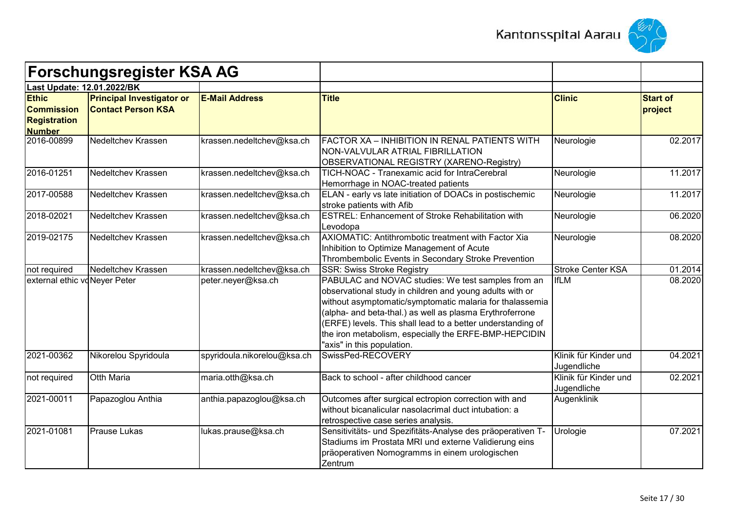



|                                                                           | <b>Forschungsregister KSA AG</b>                              |                             |                                                                                                                                                                                                                                                                                                                                                                                              |                                      |                            |
|---------------------------------------------------------------------------|---------------------------------------------------------------|-----------------------------|----------------------------------------------------------------------------------------------------------------------------------------------------------------------------------------------------------------------------------------------------------------------------------------------------------------------------------------------------------------------------------------------|--------------------------------------|----------------------------|
| Last Update: 12.01.2022/BK                                                |                                                               |                             |                                                                                                                                                                                                                                                                                                                                                                                              |                                      |                            |
| <b>Ethic</b><br><b>Commission</b><br><b>Registration</b><br><b>Number</b> | <b>Principal Investigator or</b><br><b>Contact Person KSA</b> | <b>E-Mail Address</b>       | <b>Title</b>                                                                                                                                                                                                                                                                                                                                                                                 | <b>Clinic</b>                        | <b>Start of</b><br>project |
| 2016-00899                                                                | <b>Nedeltchev Krassen</b>                                     | krassen.nedeltchev@ksa.ch   | FACTOR XA - INHIBITION IN RENAL PATIENTS WITH<br>NON-VALVULAR ATRIAL FIBRILLATION<br>OBSERVATIONAL REGISTRY (XARENO-Registry)                                                                                                                                                                                                                                                                | Neurologie                           | 02.2017                    |
| 2016-01251                                                                | Nedeltchev Krassen                                            | krassen.nedeltchev@ksa.ch   | TICH-NOAC - Tranexamic acid for IntraCerebral<br>Hemorrhage in NOAC-treated patients                                                                                                                                                                                                                                                                                                         | Neurologie                           | 11.2017                    |
| 2017-00588                                                                | Nedeltchev Krassen                                            | krassen.nedeltchev@ksa.ch   | ELAN - early vs late initiation of DOACs in postischemic<br>stroke patients with Afib                                                                                                                                                                                                                                                                                                        | Neurologie                           | 11.2017                    |
| 2018-02021                                                                | <b>Nedeltchev Krassen</b>                                     | krassen.nedeltchev@ksa.ch   | <b>ESTREL: Enhancement of Stroke Rehabilitation with</b><br>Levodopa                                                                                                                                                                                                                                                                                                                         | Neurologie                           | 06.2020                    |
| 2019-02175                                                                | Nedeltchev Krassen                                            | krassen.nedeltchev@ksa.ch   | AXIOMATIC: Antithrombotic treatment with Factor Xia<br>Inhibition to Optimize Management of Acute<br>Thrombembolic Events in Secondary Stroke Prevention                                                                                                                                                                                                                                     | Neurologie                           | 08.2020                    |
| not required                                                              | Nedeltchev Krassen                                            | krassen.nedeltchev@ksa.ch   | <b>SSR: Swiss Stroke Registry</b>                                                                                                                                                                                                                                                                                                                                                            | <b>Stroke Center KSA</b>             | 01.2014                    |
| external ethic vo Neyer Peter                                             |                                                               | peter.neyer@ksa.ch          | PABULAC and NOVAC studies: We test samples from an<br>observational study in children and young adults with or<br>without asymptomatic/symptomatic malaria for thalassemia<br>(alpha- and beta-thal.) as well as plasma Erythroferrone<br>(ERFE) levels. This shall lead to a better understanding of<br>the iron metabolism, especially the ERFE-BMP-HEPCIDIN<br>"axis" in this population. | <b>IfLM</b>                          | 08.2020                    |
| 2021-00362                                                                | Nikorelou Spyridoula                                          | spyridoula.nikorelou@ksa.ch | SwissPed-RECOVERY                                                                                                                                                                                                                                                                                                                                                                            | Klinik für Kinder und<br>Jugendliche | 04.2021                    |
| not required                                                              | <b>Otth Maria</b>                                             | maria.otth@ksa.ch           | Back to school - after childhood cancer                                                                                                                                                                                                                                                                                                                                                      | Klinik für Kinder und<br>Jugendliche | 02.2021                    |
| 2021-00011                                                                | Papazoglou Anthia                                             | anthia.papazoglou@ksa.ch    | Outcomes after surgical ectropion correction with and<br>without bicanalicular nasolacrimal duct intubation: a<br>retrospective case series analysis.                                                                                                                                                                                                                                        | Augenklinik                          |                            |
| 2021-01081                                                                | <b>Prause Lukas</b>                                           | lukas.prause@ksa.ch         | Sensitivitäts- und Spezifitäts-Analyse des präoperativen T-<br>Stadiums im Prostata MRI und externe Validierung eins<br>präoperativen Nomogramms in einem urologischen<br>Zentrum                                                                                                                                                                                                            | Urologie                             | 07.2021                    |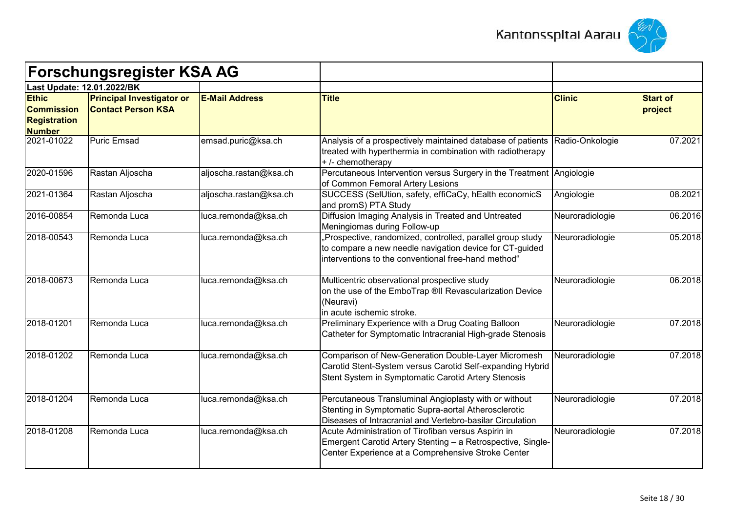



| <b>Forschungsregister KSA AG</b>                                          |                                                               |                        |                                                                                                                                                                             |                 |                            |
|---------------------------------------------------------------------------|---------------------------------------------------------------|------------------------|-----------------------------------------------------------------------------------------------------------------------------------------------------------------------------|-----------------|----------------------------|
| Last Update: 12.01.2022/BK                                                |                                                               |                        |                                                                                                                                                                             |                 |                            |
| <b>Ethic</b><br><b>Commission</b><br><b>Registration</b><br><b>Number</b> | <b>Principal Investigator or</b><br><b>Contact Person KSA</b> | <b>E-Mail Address</b>  | <b>Title</b>                                                                                                                                                                | <b>Clinic</b>   | <b>Start of</b><br>project |
| 2021-01022                                                                | <b>Puric Emsad</b>                                            | emsad.puric@ksa.ch     | Analysis of a prospectively maintained database of patients<br>treated with hyperthermia in combination with radiotherapy<br>+/- chemotherapy                               | Radio-Onkologie | 07.2021                    |
| 2020-01596                                                                | Rastan Aljoscha                                               | aljoscha.rastan@ksa.ch | Percutaneous Intervention versus Surgery in the Treatment Angiologie<br>of Common Femoral Artery Lesions                                                                    |                 |                            |
| 2021-01364                                                                | Rastan Aljoscha                                               | aljoscha.rastan@ksa.ch | SUCCESS (SelUtion, safety, effiCaCy, hEalth economicS<br>and promS) PTA Study                                                                                               | Angiologie      | 08.2021                    |
| 2016-00854                                                                | Remonda Luca                                                  | luca.remonda@ksa.ch    | Diffusion Imaging Analysis in Treated and Untreated<br>Meningiomas during Follow-up                                                                                         | Neuroradiologie | 06.2016                    |
| 2018-00543                                                                | Remonda Luca                                                  | luca.remonda@ksa.ch    | Prospective, randomized, controlled, parallel group study<br>to compare a new needle navigation device for CT-guided<br>interventions to the conventional free-hand method" | Neuroradiologie | 05.2018                    |
| 2018-00673                                                                | Remonda Luca                                                  | luca.remonda@ksa.ch    | Multicentric observational prospective study<br>on the use of the EmboTrap ®II Revascularization Device<br>(Neuravi)<br>in acute ischemic stroke.                           | Neuroradiologie | 06.2018                    |
| 2018-01201                                                                | Remonda Luca                                                  | luca.remonda@ksa.ch    | Preliminary Experience with a Drug Coating Balloon<br>Catheter for Symptomatic Intracranial High-grade Stenosis                                                             | Neuroradiologie | 07.2018                    |
| 2018-01202                                                                | Remonda Luca                                                  | luca.remonda@ksa.ch    | Comparison of New-Generation Double-Layer Micromesh<br>Carotid Stent-System versus Carotid Self-expanding Hybrid<br>Stent System in Symptomatic Carotid Artery Stenosis     | Neuroradiologie | 07.2018                    |
| 2018-01204                                                                | Remonda Luca                                                  | luca.remonda@ksa.ch    | Percutaneous Transluminal Angioplasty with or without<br>Stenting in Symptomatic Supra-aortal Atherosclerotic<br>Diseases of Intracranial and Vertebro-basilar Circulation  | Neuroradiologie | 07.2018                    |
| 2018-01208                                                                | Remonda Luca                                                  | luca.remonda@ksa.ch    | Acute Administration of Tirofiban versus Aspirin in<br>Emergent Carotid Artery Stenting - a Retrospective, Single-<br>Center Experience at a Comprehensive Stroke Center    | Neuroradiologie | 07.2018                    |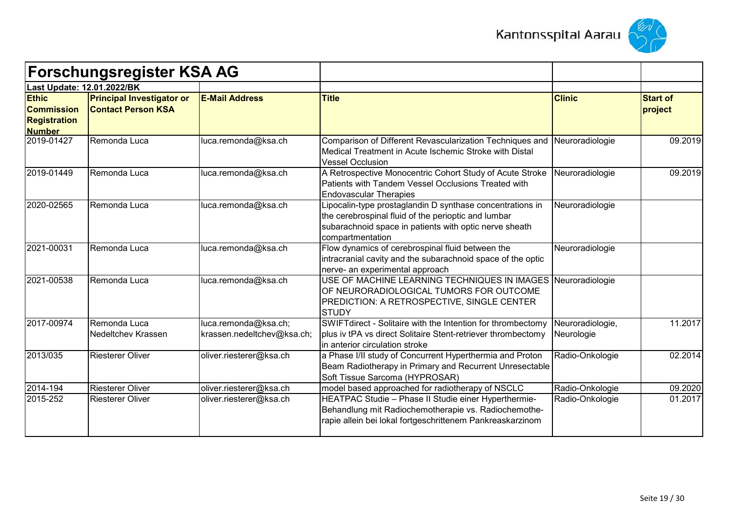



|                                                                           | <b>Forschungsregister KSA AG</b>                              |                                                    |                                                                                                                                                                                                |                                |                            |
|---------------------------------------------------------------------------|---------------------------------------------------------------|----------------------------------------------------|------------------------------------------------------------------------------------------------------------------------------------------------------------------------------------------------|--------------------------------|----------------------------|
| Last Update: 12.01.2022/BK                                                |                                                               |                                                    |                                                                                                                                                                                                |                                |                            |
| <b>Ethic</b><br><b>Commission</b><br><b>Registration</b><br><b>Number</b> | <b>Principal Investigator or</b><br><b>Contact Person KSA</b> | <b>E-Mail Address</b>                              | <b>Title</b>                                                                                                                                                                                   | <b>Clinic</b>                  | <b>Start of</b><br>project |
| 2019-01427                                                                | Remonda Luca                                                  | luca.remonda@ksa.ch                                | Comparison of Different Revascularization Techniques and<br>Medical Treatment in Acute Ischemic Stroke with Distal<br><b>Vessel Occlusion</b>                                                  | Neuroradiologie                | 09.2019                    |
| 2019-01449                                                                | Remonda Luca                                                  | luca.remonda@ksa.ch                                | A Retrospective Monocentric Cohort Study of Acute Stroke<br>Patients with Tandem Vessel Occlusions Treated with<br><b>Endovascular Therapies</b>                                               | Neuroradiologie                | 09.2019                    |
| 2020-02565                                                                | Remonda Luca                                                  | luca.remonda@ksa.ch                                | Lipocalin-type prostaglandin D synthase concentrations in<br>the cerebrospinal fluid of the perioptic and lumbar<br>subarachnoid space in patients with optic nerve sheath<br>compartmentation | Neuroradiologie                |                            |
| 2021-00031                                                                | Remonda Luca                                                  | luca.remonda@ksa.ch                                | Flow dynamics of cerebrospinal fluid between the<br>intracranial cavity and the subarachnoid space of the optic<br>nerve- an experimental approach                                             | Neuroradiologie                |                            |
| 2021-00538                                                                | Remonda Luca                                                  | luca.remonda@ksa.ch                                | USE OF MACHINE LEARNING TECHNIQUES IN IMAGES Neuroradiologie<br>OF NEURORADIOLOGICAL TUMORS FOR OUTCOME<br>PREDICTION: A RETROSPECTIVE, SINGLE CENTER<br><b>STUDY</b>                          |                                |                            |
| 2017-00974                                                                | Remonda Luca<br><b>Nedeltchev Krassen</b>                     | luca.remonda@ksa.ch;<br>krassen.nedeltchev@ksa.ch; | SWIFTdirect - Solitaire with the Intention for thrombectomy<br>plus iv tPA vs direct Solitaire Stent-retriever thrombectomy<br>lin anterior circulation stroke                                 | Neuroradiologie,<br>Neurologie | 11.2017                    |
| 2013/035                                                                  | <b>Riesterer Oliver</b>                                       | oliver.riesterer@ksa.ch                            | a Phase I/II study of Concurrent Hyperthermia and Proton<br>Beam Radiotherapy in Primary and Recurrent Unresectable<br>Soft Tissue Sarcoma (HYPROSAR)                                          | Radio-Onkologie                | 02.2014                    |
| 2014-194                                                                  | <b>Riesterer Oliver</b>                                       | oliver.riesterer@ksa.ch                            | model based approached for radiotherapy of NSCLC                                                                                                                                               | Radio-Onkologie                | 09.2020                    |
| 2015-252                                                                  | <b>Riesterer Oliver</b>                                       | oliver.riesterer@ksa.ch                            | HEATPAC Studie - Phase II Studie einer Hyperthermie-<br>Behandlung mit Radiochemotherapie vs. Radiochemothe-<br>rapie allein bei lokal fortgeschrittenem Pankreaskarzinom                      | Radio-Onkologie                | 01.2017                    |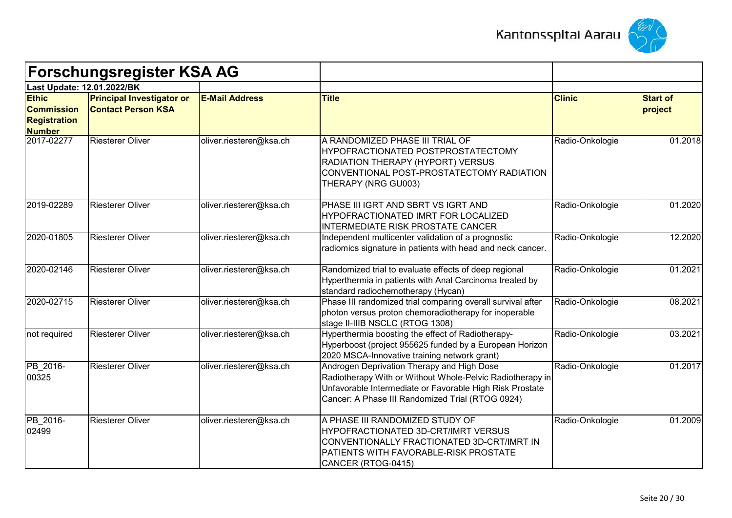



|                                                                           | <b>Forschungsregister KSA AG</b>                              |                         |                                                                                                                                                                                                                         |                 |                            |
|---------------------------------------------------------------------------|---------------------------------------------------------------|-------------------------|-------------------------------------------------------------------------------------------------------------------------------------------------------------------------------------------------------------------------|-----------------|----------------------------|
| Last Update: 12.01.2022/BK                                                |                                                               |                         |                                                                                                                                                                                                                         |                 |                            |
| <b>Ethic</b><br><b>Commission</b><br><b>Registration</b><br><b>Number</b> | <b>Principal Investigator or</b><br><b>Contact Person KSA</b> | <b>E-Mail Address</b>   | <b>Title</b>                                                                                                                                                                                                            | <b>Clinic</b>   | <b>Start of</b><br>project |
| 2017-02277                                                                | <b>Riesterer Oliver</b>                                       | oliver.riesterer@ksa.ch | A RANDOMIZED PHASE III TRIAL OF<br>HYPOFRACTIONATED POSTPROSTATECTOMY<br>RADIATION THERAPY (HYPORT) VERSUS<br>CONVENTIONAL POST-PROSTATECTOMY RADIATION<br>THERAPY (NRG GU003)                                          | Radio-Onkologie | 01.2018                    |
| 2019-02289                                                                | <b>Riesterer Oliver</b>                                       | oliver.riesterer@ksa.ch | PHASE III IGRT AND SBRT VS IGRT AND<br>HYPOFRACTIONATED IMRT FOR LOCALIZED<br><b>INTERMEDIATE RISK PROSTATE CANCER</b>                                                                                                  | Radio-Onkologie | 01.2020                    |
| 2020-01805                                                                | <b>Riesterer Oliver</b>                                       | oliver.riesterer@ksa.ch | Independent multicenter validation of a prognostic<br>radiomics signature in patients with head and neck cancer.                                                                                                        | Radio-Onkologie | 12.2020                    |
| 2020-02146                                                                | <b>Riesterer Oliver</b>                                       | oliver.riesterer@ksa.ch | Randomized trial to evaluate effects of deep regional<br>Hyperthermia in patients with Anal Carcinoma treated by<br>standard radiochemotherapy (Hycan)                                                                  | Radio-Onkologie | 01.2021                    |
| 2020-02715                                                                | <b>Riesterer Oliver</b>                                       | oliver.riesterer@ksa.ch | Phase III randomized trial comparing overall survival after<br>photon versus proton chemoradiotherapy for inoperable<br>stage II-IIIB NSCLC (RTOG 1308)                                                                 | Radio-Onkologie | 08.2021                    |
| not required                                                              | <b>Riesterer Oliver</b>                                       | oliver.riesterer@ksa.ch | Hyperthermia boosting the effect of Radiotherapy-<br>Hyperboost (project 955625 funded by a European Horizon<br>2020 MSCA-Innovative training network grant)                                                            | Radio-Onkologie | 03.2021                    |
| PB_2016-<br>00325                                                         | <b>Riesterer Oliver</b>                                       | oliver.riesterer@ksa.ch | Androgen Deprivation Therapy and High Dose<br>Radiotherapy With or Without Whole-Pelvic Radiotherapy in<br>Unfavorable Intermediate or Favorable High Risk Prostate<br>Cancer: A Phase III Randomized Trial (RTOG 0924) | Radio-Onkologie | 01.2017                    |
| PB 2016-<br>02499                                                         | <b>Riesterer Oliver</b>                                       | oliver.riesterer@ksa.ch | A PHASE III RANDOMIZED STUDY OF<br>HYPOFRACTIONATED 3D-CRT/IMRT VERSUS<br>CONVENTIONALLY FRACTIONATED 3D-CRT/IMRT IN<br>PATIENTS WITH FAVORABLE-RISK PROSTATE<br>CANCER (RTOG-0415)                                     | Radio-Onkologie | 01.2009                    |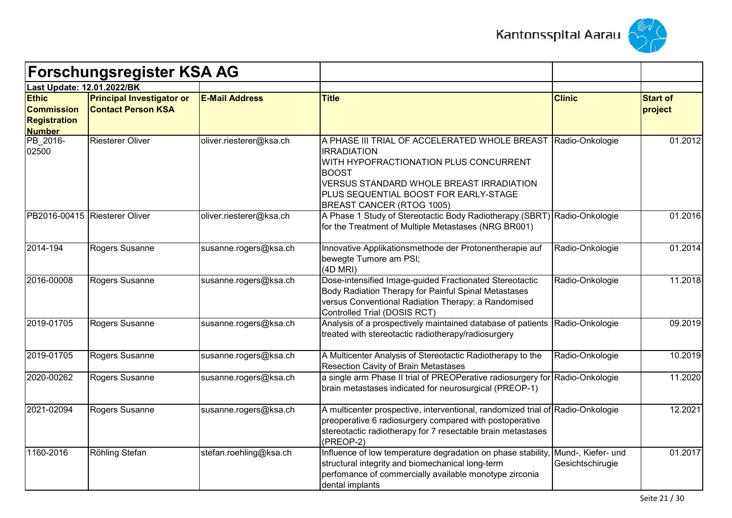



|                                                                           | <b>Forschungsregister KSA AG</b>                              |                         |                                                                                                                                                                                                                                                                               |                                        |                            |
|---------------------------------------------------------------------------|---------------------------------------------------------------|-------------------------|-------------------------------------------------------------------------------------------------------------------------------------------------------------------------------------------------------------------------------------------------------------------------------|----------------------------------------|----------------------------|
| Last Update: 12.01.2022/BK                                                |                                                               |                         |                                                                                                                                                                                                                                                                               |                                        |                            |
| <b>Ethic</b><br><b>Commission</b><br><b>Registration</b><br><b>Number</b> | <b>Principal Investigator or</b><br><b>Contact Person KSA</b> | <b>E-Mail Address</b>   | <b>Title</b>                                                                                                                                                                                                                                                                  | <b>Clinic</b>                          | <b>Start of</b><br>project |
| PB_2016-<br>02500                                                         | <b>Riesterer Oliver</b>                                       | oliver.riesterer@ksa.ch | A PHASE III TRIAL OF ACCELERATED WHOLE BREAST Radio-Onkologie<br><b>IRRADIATION</b><br>WITH HYPOFRACTIONATION PLUS CONCURRENT<br><b>BOOST</b><br><b>VERSUS STANDARD WHOLE BREAST IRRADIATION</b><br>PLUS SEQUENTIAL BOOST FOR EARLY-STAGE<br><b>BREAST CANCER (RTOG 1005)</b> |                                        | 01.2012                    |
|                                                                           | PB2016-00415 Riesterer Oliver                                 | oliver.riesterer@ksa.ch | A Phase 1 Study of Stereotactic Body Radiotherapy (SBRT) Radio-Onkologie<br>for the Treatment of Multiple Metastases (NRG BR001)                                                                                                                                              |                                        | 01.2016                    |
| 2014-194                                                                  | Rogers Susanne                                                | susanne.rogers@ksa.ch   | Innovative Applikationsmethode der Protonentherapie auf<br>bewegte Tumore am PSI;<br>(4D MRI)                                                                                                                                                                                 | Radio-Onkologie                        | 01.2014                    |
| 2016-00008                                                                | Rogers Susanne                                                | susanne.rogers@ksa.ch   | Dose-intensified Image-guided Fractionated Stereotactic<br>Body Radiation Therapy for Painful Spinal Metastases<br>versus Conventional Radiation Therapy: a Randomised<br>Controlled Trial (DOSIS RCT)                                                                        | Radio-Onkologie                        | 11.2018                    |
| 2019-01705                                                                | Rogers Susanne                                                | susanne.rogers@ksa.ch   | Analysis of a prospectively maintained database of patients<br>treated with stereotactic radiotherapy/radiosurgery                                                                                                                                                            | Radio-Onkologie                        | 09.2019                    |
| 2019-01705                                                                | Rogers Susanne                                                | susanne.rogers@ksa.ch   | A Multicenter Analysis of Stereotactic Radiotherapy to the<br><b>Resection Cavity of Brain Metastases</b>                                                                                                                                                                     | Radio-Onkologie                        | 10.2019                    |
| 2020-00262                                                                | Rogers Susanne                                                | susanne.rogers@ksa.ch   | a single arm Phase II trial of PREOPerative radiosurgery for Radio-Onkologie<br>brain metastases indicated for neurosurgical (PREOP-1)                                                                                                                                        |                                        | 11.2020                    |
| 2021-02094                                                                | Rogers Susanne                                                | susanne.rogers@ksa.ch   | A multicenter prospective, interventional, randomized trial of Radio-Onkologie<br>preoperative 6 radiosurgery compared with postoperative<br>stereotactic radiotherapy for 7 resectable brain metastases<br>(PREOP-2)                                                         |                                        | 12.2021                    |
| 1160-2016                                                                 | Röhling Stefan                                                | stefan.roehling@ksa.ch  | Influence of low temperature degradation on phase stability,<br>structural integrity and biomechanical long-term<br>perfomance of commercially available monotype zirconia<br>dental implants                                                                                 | Mund-, Kiefer- und<br>Gesichtschirugie | 01.2017                    |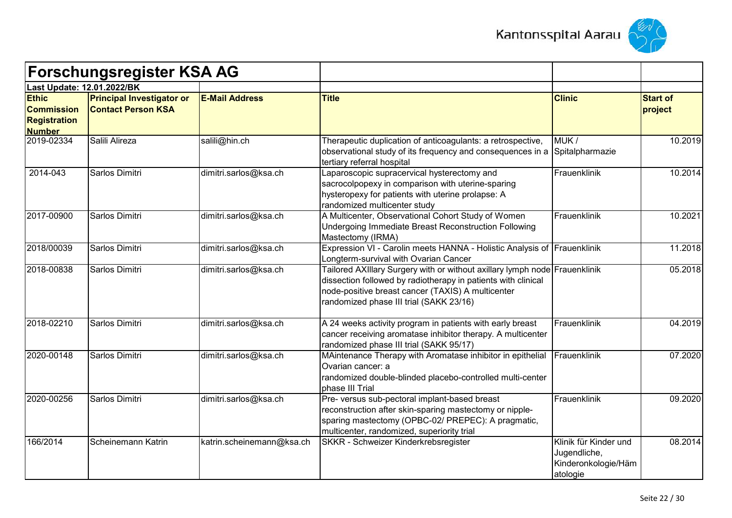



|                                                                           | <b>Forschungsregister KSA AG</b>                              |                           |                                                                                                                                                                                                                                             |                                                                          |                            |
|---------------------------------------------------------------------------|---------------------------------------------------------------|---------------------------|---------------------------------------------------------------------------------------------------------------------------------------------------------------------------------------------------------------------------------------------|--------------------------------------------------------------------------|----------------------------|
|                                                                           | Last Update: 12.01.2022/BK                                    |                           |                                                                                                                                                                                                                                             |                                                                          |                            |
| <b>Ethic</b><br><b>Commission</b><br><b>Registration</b><br><b>Number</b> | <b>Principal Investigator or</b><br><b>Contact Person KSA</b> | <b>E-Mail Address</b>     | <b>Title</b>                                                                                                                                                                                                                                | <b>Clinic</b>                                                            | <b>Start of</b><br>project |
| 2019-02334                                                                | Salili Alireza                                                | salili@hin.ch             | Therapeutic duplication of anticoagulants: a retrospective,<br>observational study of its frequency and consequences in a<br>tertiary referral hospital                                                                                     | MUK/<br>Spitalpharmazie                                                  | 10.2019                    |
| 2014-043                                                                  | Sarlos Dimitri                                                | dimitri.sarlos@ksa.ch     | Laparoscopic supracervical hysterectomy and<br>sacrocolpopexy in comparison with uterine-sparing<br>hysteropexy for patients with uterine prolapse: A<br>randomized multicenter study                                                       | Frauenklinik                                                             | 10.2014                    |
| 2017-00900                                                                | Sarlos Dimitri                                                | dimitri.sarlos@ksa.ch     | A Multicenter, Observational Cohort Study of Women<br>Undergoing Immediate Breast Reconstruction Following<br>Mastectomy (IRMA)                                                                                                             | Frauenklinik                                                             | 10.2021                    |
| 2018/00039                                                                | Sarlos Dimitri                                                | dimitri.sarlos@ksa.ch     | Expression VI - Carolin meets HANNA - Holistic Analysis of Frauenklinik<br>Longterm-survival with Ovarian Cancer                                                                                                                            |                                                                          | 11.2018                    |
| 2018-00838                                                                | Sarlos Dimitri                                                | dimitri.sarlos@ksa.ch     | Tailored AXIIIary Surgery with or without axillary lymph node Frauenklinik<br>dissection followed by radiotherapy in patients with clinical<br>node-positive breast cancer (TAXIS) A multicenter<br>randomized phase III trial (SAKK 23/16) |                                                                          | 05.2018                    |
| 2018-02210                                                                | Sarlos Dimitri                                                | dimitri.sarlos@ksa.ch     | A 24 weeks activity program in patients with early breast<br>cancer receiving aromatase inhibitor therapy. A multicenter<br>randomized phase III trial (SAKK 95/17)                                                                         | Frauenklinik                                                             | 04.2019                    |
| 2020-00148                                                                | Sarlos Dimitri                                                | dimitri.sarlos@ksa.ch     | MAintenance Therapy with Aromatase inhibitor in epithelial<br>Ovarian cancer: a<br>randomized double-blinded placebo-controlled multi-center<br>phase III Trial                                                                             | Frauenklinik                                                             | 07.2020                    |
| 2020-00256                                                                | Sarlos Dimitri                                                | dimitri.sarlos@ksa.ch     | Pre- versus sub-pectoral implant-based breast<br>reconstruction after skin-sparing mastectomy or nipple-<br>sparing mastectomy (OPBC-02/ PREPEC): A pragmatic,<br>multicenter, randomized, superiority trial                                | Frauenklinik                                                             | 09.2020                    |
| 166/2014                                                                  | Scheinemann Katrin                                            | katrin.scheinemann@ksa.ch | SKKR - Schweizer Kinderkrebsregister                                                                                                                                                                                                        | Klinik für Kinder und<br>Jugendliche,<br>Kinderonkologie/Häm<br>atologie | 08.2014                    |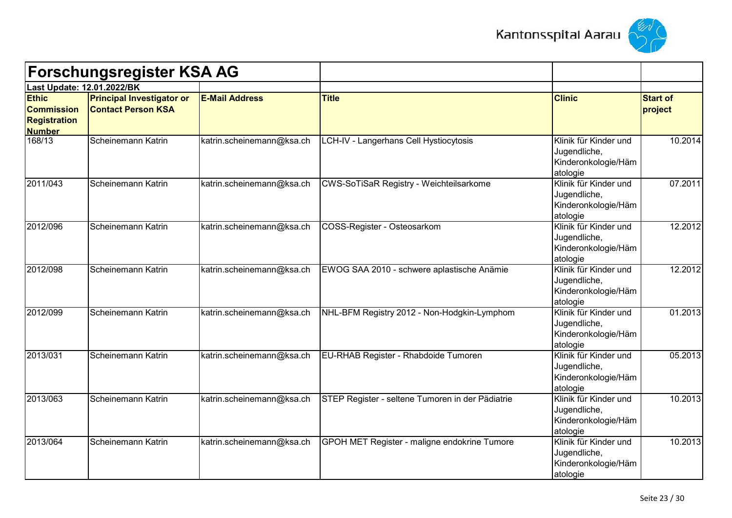



|                                                                           | <b>Forschungsregister KSA AG</b>                              |                           |                                                     |                                                                          |                            |
|---------------------------------------------------------------------------|---------------------------------------------------------------|---------------------------|-----------------------------------------------------|--------------------------------------------------------------------------|----------------------------|
| Last Update: 12.01.2022/BK                                                |                                                               |                           |                                                     |                                                                          |                            |
| <b>Ethic</b><br><b>Commission</b><br><b>Registration</b><br><b>Number</b> | <b>Principal Investigator or</b><br><b>Contact Person KSA</b> | <b>E-Mail Address</b>     | <b>Title</b>                                        | <b>Clinic</b>                                                            | <b>Start of</b><br>project |
| 168/13                                                                    | Scheinemann Katrin                                            | katrin.scheinemann@ksa.ch | LCH-IV - Langerhans Cell Hystiocytosis              | Klinik für Kinder und<br>Jugendliche,<br>Kinderonkologie/Häm<br>atologie | 10.2014                    |
| 2011/043                                                                  | Scheinemann Katrin                                            | katrin.scheinemann@ksa.ch | <b>CWS-SoTiSaR Registry - Weichteilsarkome</b>      | Klinik für Kinder und<br>Jugendliche,<br>Kinderonkologie/Häm<br>atologie | 07.2011                    |
| 2012/096                                                                  | Scheinemann Katrin                                            | katrin.scheinemann@ksa.ch | COSS-Register - Osteosarkom                         | Klinik für Kinder und<br>Jugendliche,<br>Kinderonkologie/Häm<br>atologie | 12.2012                    |
| 2012/098                                                                  | Scheinemann Katrin                                            | katrin.scheinemann@ksa.ch | EWOG SAA 2010 - schwere aplastische Anämie          | Klinik für Kinder und<br>Jugendliche,<br>Kinderonkologie/Häm<br>atologie | 12.2012                    |
| 2012/099                                                                  | Scheinemann Katrin                                            | katrin.scheinemann@ksa.ch | NHL-BFM Registry 2012 - Non-Hodgkin-Lymphom         | Klinik für Kinder und<br>Jugendliche,<br>Kinderonkologie/Häm<br>atologie | 01.2013                    |
| 2013/031                                                                  | Scheinemann Katrin                                            | katrin.scheinemann@ksa.ch | EU-RHAB Register - Rhabdoide Tumoren                | Klinik für Kinder und<br>Jugendliche,<br>Kinderonkologie/Häm<br>atologie | 05.2013                    |
| 2013/063                                                                  | Scheinemann Katrin                                            | katrin.scheinemann@ksa.ch | STEP Register - seltene Tumoren in der Pädiatrie    | Klinik für Kinder und<br>Jugendliche,<br>Kinderonkologie/Häm<br>atologie | 10.2013                    |
| 2013/064                                                                  | Scheinemann Katrin                                            | katrin.scheinemann@ksa.ch | <b>GPOH MET Register - maligne endokrine Tumore</b> | Klinik für Kinder und<br>Jugendliche,<br>Kinderonkologie/Häm<br>atologie | 10.2013                    |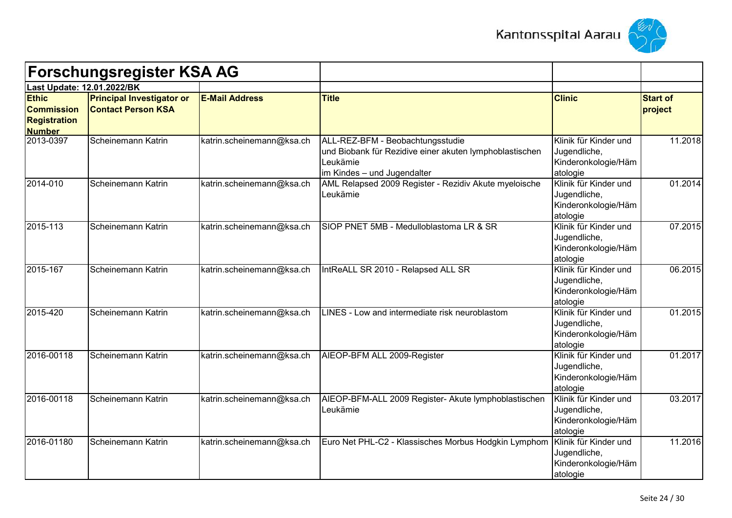



| <b>Forschungsregister KSA AG</b>                                          |                                                               |                           |                                                                                                                                        |                                                                          |                            |
|---------------------------------------------------------------------------|---------------------------------------------------------------|---------------------------|----------------------------------------------------------------------------------------------------------------------------------------|--------------------------------------------------------------------------|----------------------------|
| Last Update: 12.01.2022/BK                                                |                                                               |                           |                                                                                                                                        |                                                                          |                            |
| <b>Ethic</b><br><b>Commission</b><br><b>Registration</b><br><b>Number</b> | <b>Principal Investigator or</b><br><b>Contact Person KSA</b> | <b>E-Mail Address</b>     | <b>Title</b>                                                                                                                           | <b>Clinic</b>                                                            | <b>Start of</b><br>project |
| 2013-0397                                                                 | Scheinemann Katrin                                            | katrin.scheinemann@ksa.ch | ALL-REZ-BFM - Beobachtungsstudie<br>und Biobank für Rezidive einer akuten lymphoblastischen<br>Leukämie<br>im Kindes - und Jugendalter | Klinik für Kinder und<br>Jugendliche,<br>Kinderonkologie/Häm<br>atologie | 11.2018                    |
| 2014-010                                                                  | Scheinemann Katrin                                            | katrin.scheinemann@ksa.ch | AML Relapsed 2009 Register - Rezidiv Akute myeloische<br>Leukämie                                                                      | Klinik für Kinder und<br>Jugendliche,<br>Kinderonkologie/Häm<br>atologie | 01.2014                    |
| 2015-113                                                                  | Scheinemann Katrin                                            | katrin.scheinemann@ksa.ch | SIOP PNET 5MB - Medulloblastoma LR & SR                                                                                                | Klinik für Kinder und<br>Jugendliche,<br>Kinderonkologie/Häm<br>atologie | 07.2015                    |
| 2015-167                                                                  | Scheinemann Katrin                                            | katrin.scheinemann@ksa.ch | IntReALL SR 2010 - Relapsed ALL SR                                                                                                     | Klinik für Kinder und<br>Jugendliche,<br>Kinderonkologie/Häm<br>atologie | 06.2015                    |
| 2015-420                                                                  | Scheinemann Katrin                                            | katrin.scheinemann@ksa.ch | LINES - Low and intermediate risk neuroblastom                                                                                         | Klinik für Kinder und<br>Jugendliche,<br>Kinderonkologie/Häm<br>atologie | 01.2015                    |
| 2016-00118                                                                | Scheinemann Katrin                                            | katrin.scheinemann@ksa.ch | AIEOP-BFM ALL 2009-Register                                                                                                            | Klinik für Kinder und<br>Jugendliche,<br>Kinderonkologie/Häm<br>atologie | 01.2017                    |
| 2016-00118                                                                | Scheinemann Katrin                                            | katrin.scheinemann@ksa.ch | AIEOP-BFM-ALL 2009 Register- Akute lymphoblastischen<br>Leukämie                                                                       | Klinik für Kinder und<br>Jugendliche,<br>Kinderonkologie/Häm<br>atologie | 03.2017                    |
| 2016-01180                                                                | Scheinemann Katrin                                            | katrin.scheinemann@ksa.ch | Euro Net PHL-C2 - Klassisches Morbus Hodgkin Lymphom                                                                                   | Klinik für Kinder und<br>Jugendliche,<br>Kinderonkologie/Häm<br>atologie | 11.2016                    |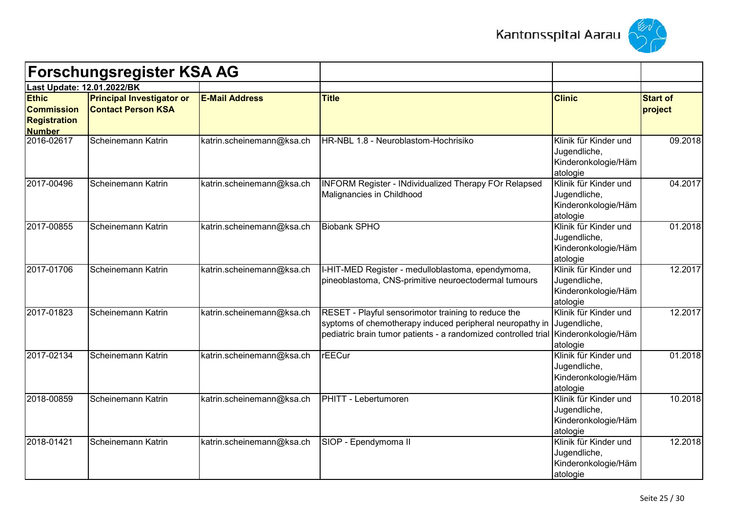



| <b>Forschungsregister KSA AG</b><br>Last Update: 12.01.2022/BK            |                                                               |                           |                                                                                                                                                                                   |                                                                          |                            |
|---------------------------------------------------------------------------|---------------------------------------------------------------|---------------------------|-----------------------------------------------------------------------------------------------------------------------------------------------------------------------------------|--------------------------------------------------------------------------|----------------------------|
|                                                                           |                                                               |                           |                                                                                                                                                                                   |                                                                          |                            |
| <b>Ethic</b><br><b>Commission</b><br><b>Registration</b><br><b>Number</b> | <b>Principal Investigator or</b><br><b>Contact Person KSA</b> | <b>E-Mail Address</b>     | <b>Title</b>                                                                                                                                                                      | <b>Clinic</b>                                                            | <b>Start of</b><br>project |
| 2016-02617                                                                | Scheinemann Katrin                                            | katrin.scheinemann@ksa.ch | HR-NBL 1.8 - Neuroblastom-Hochrisiko                                                                                                                                              | Klinik für Kinder und<br>Jugendliche,<br>Kinderonkologie/Häm<br>atologie | 09.2018                    |
| 2017-00496                                                                | Scheinemann Katrin                                            | katrin.scheinemann@ksa.ch | <b>INFORM Register - INdividualized Therapy FOr Relapsed</b><br>Malignancies in Childhood                                                                                         | Klinik für Kinder und<br>Jugendliche,<br>Kinderonkologie/Häm<br>atologie | 04.2017                    |
| 2017-00855                                                                | Scheinemann Katrin                                            | katrin.scheinemann@ksa.ch | <b>Biobank SPHO</b>                                                                                                                                                               | Klinik für Kinder und<br>Jugendliche,<br>Kinderonkologie/Häm<br>atologie | 01.2018                    |
| 2017-01706                                                                | Scheinemann Katrin                                            | katrin.scheinemann@ksa.ch | I-HIT-MED Register - medulloblastoma, ependymoma,<br>pineoblastoma, CNS-primitive neuroectodermal tumours                                                                         | Klinik für Kinder und<br>Jugendliche,<br>Kinderonkologie/Häm<br>atologie | 12.2017                    |
| 2017-01823                                                                | Scheinemann Katrin                                            | katrin.scheinemann@ksa.ch | RESET - Playful sensorimotor training to reduce the<br>syptoms of chemotherapy induced peripheral neuropathy in<br>pediatric brain tumor patients - a randomized controlled trial | Klinik für Kinder und<br>Jugendliche,<br>Kinderonkologie/Häm<br>atologie | 12.2017                    |
| 2017-02134                                                                | Scheinemann Katrin                                            | katrin.scheinemann@ksa.ch | rEECur                                                                                                                                                                            | Klinik für Kinder und<br>Jugendliche,<br>Kinderonkologie/Häm<br>atologie | 01.2018                    |
| 2018-00859                                                                | Scheinemann Katrin                                            | katrin.scheinemann@ksa.ch | PHITT - Lebertumoren                                                                                                                                                              | Klinik für Kinder und<br>Jugendliche,<br>Kinderonkologie/Häm<br>atologie | 10.2018                    |
| 2018-01421                                                                | Scheinemann Katrin                                            | katrin.scheinemann@ksa.ch | SIOP - Ependymoma II                                                                                                                                                              | Klinik für Kinder und<br>Jugendliche,<br>Kinderonkologie/Häm<br>atologie | 12.2018                    |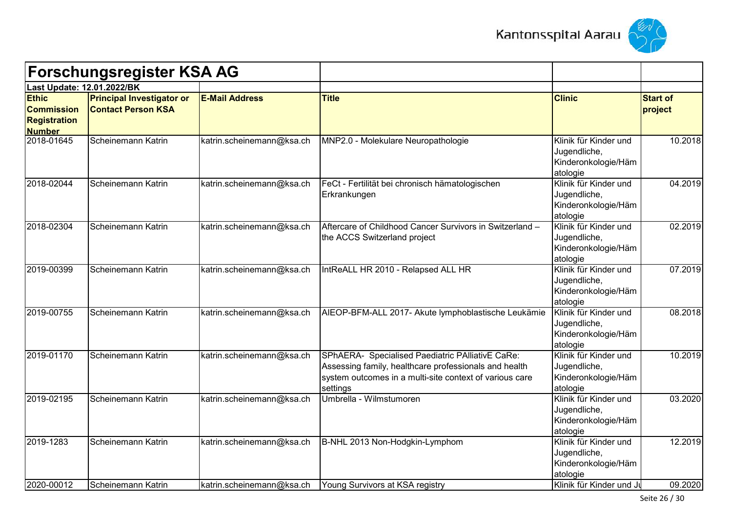



|                                                                           | <b>Forschungsregister KSA AG</b>                              |                           |                                                                                                                                                                                  |                                                                          |                            |
|---------------------------------------------------------------------------|---------------------------------------------------------------|---------------------------|----------------------------------------------------------------------------------------------------------------------------------------------------------------------------------|--------------------------------------------------------------------------|----------------------------|
|                                                                           | Last Update: 12.01.2022/BK                                    |                           |                                                                                                                                                                                  |                                                                          |                            |
| <b>Ethic</b><br><b>Commission</b><br><b>Registration</b><br><b>Number</b> | <b>Principal Investigator or</b><br><b>Contact Person KSA</b> | <b>E-Mail Address</b>     | <b>Title</b>                                                                                                                                                                     | <b>Clinic</b>                                                            | <b>Start of</b><br>project |
| 2018-01645                                                                | Scheinemann Katrin                                            | katrin.scheinemann@ksa.ch | MNP2.0 - Molekulare Neuropathologie                                                                                                                                              | Klinik für Kinder und<br>Jugendliche,<br>Kinderonkologie/Häm<br>atologie | 10.2018                    |
| 2018-02044                                                                | Scheinemann Katrin                                            | katrin.scheinemann@ksa.ch | FeCt - Fertilität bei chronisch hämatologischen<br>Erkrankungen                                                                                                                  | Klinik für Kinder und<br>Jugendliche,<br>Kinderonkologie/Häm<br>atologie | 04.2019                    |
| 2018-02304                                                                | Scheinemann Katrin                                            | katrin.scheinemann@ksa.ch | Aftercare of Childhood Cancer Survivors in Switzerland -<br>the ACCS Switzerland project                                                                                         | Klinik für Kinder und<br>Jugendliche,<br>Kinderonkologie/Häm<br>atologie | 02.2019                    |
| 2019-00399                                                                | Scheinemann Katrin                                            | katrin.scheinemann@ksa.ch | IntReALL HR 2010 - Relapsed ALL HR                                                                                                                                               | Klinik für Kinder und<br>Jugendliche,<br>Kinderonkologie/Häm<br>atologie | 07.2019                    |
| 2019-00755                                                                | Scheinemann Katrin                                            | katrin.scheinemann@ksa.ch | AIEOP-BFM-ALL 2017- Akute lymphoblastische Leukämie                                                                                                                              | Klinik für Kinder und<br>Jugendliche,<br>Kinderonkologie/Häm<br>atologie | 08.2018                    |
| 2019-01170                                                                | Scheinemann Katrin                                            | katrin.scheinemann@ksa.ch | SPhAERA- Specialised Paediatric PAlliativE CaRe:<br>Assessing family, healthcare professionals and health<br>system outcomes in a multi-site context of various care<br>settings | Klinik für Kinder und<br>Jugendliche,<br>Kinderonkologie/Häm<br>atologie | 10.2019                    |
| 2019-02195                                                                | Scheinemann Katrin                                            | katrin.scheinemann@ksa.ch | Umbrella - Wilmstumoren                                                                                                                                                          | Klinik für Kinder und<br>Jugendliche,<br>Kinderonkologie/Häm<br>atologie | 03.2020                    |
| 2019-1283                                                                 | Scheinemann Katrin                                            | katrin.scheinemann@ksa.ch | B-NHL 2013 Non-Hodgkin-Lymphom                                                                                                                                                   | Klinik für Kinder und<br>Jugendliche,<br>Kinderonkologie/Häm<br>atologie | 12.2019                    |
| 2020-00012                                                                | Scheinemann Katrin                                            | katrin.scheinemann@ksa.ch | Young Survivors at KSA registry                                                                                                                                                  | Klinik für Kinder und Ju                                                 | 09.2020                    |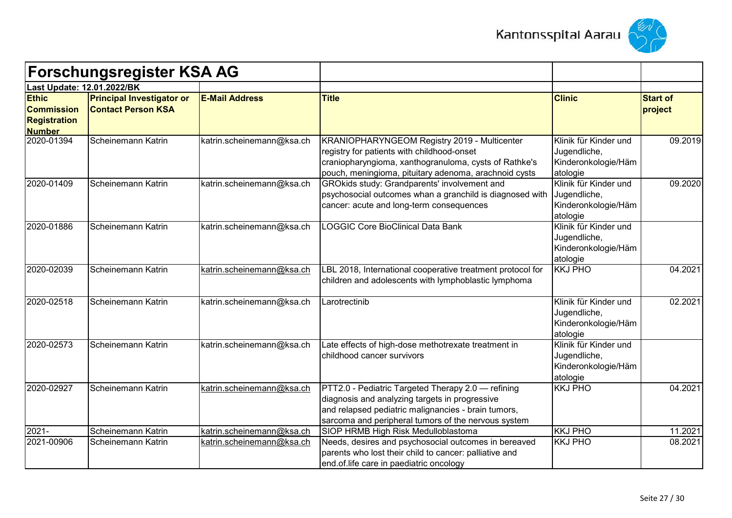



| <b>Forschungsregister KSA AG</b>                                          |                                                               |                           |                                                                                                                                                                                                                    |                                                                          |                            |
|---------------------------------------------------------------------------|---------------------------------------------------------------|---------------------------|--------------------------------------------------------------------------------------------------------------------------------------------------------------------------------------------------------------------|--------------------------------------------------------------------------|----------------------------|
| Last Update: 12.01.2022/BK                                                |                                                               |                           |                                                                                                                                                                                                                    |                                                                          |                            |
| <b>Ethic</b><br><b>Commission</b><br><b>Registration</b><br><b>Number</b> | <b>Principal Investigator or</b><br><b>Contact Person KSA</b> | <b>E-Mail Address</b>     | <b>Title</b>                                                                                                                                                                                                       | <b>Clinic</b>                                                            | <b>Start of</b><br>project |
| 2020-01394                                                                | Scheinemann Katrin                                            | katrin.scheinemann@ksa.ch | KRANIOPHARYNGEOM Registry 2019 - Multicenter<br>registry for patients with childhood-onset<br>craniopharyngioma, xanthogranuloma, cysts of Rathke's<br>pouch, meningioma, pituitary adenoma, arachnoid cysts       | Klinik für Kinder und<br>Jugendliche,<br>Kinderonkologie/Häm<br>atologie | 09.2019                    |
| 2020-01409                                                                | Scheinemann Katrin                                            | katrin.scheinemann@ksa.ch | GROkids study: Grandparents' involvement and<br>psychosocial outcomes whan a granchild is diagnosed with<br>cancer: acute and long-term consequences                                                               | Klinik für Kinder und<br>Jugendliche,<br>Kinderonkologie/Häm<br>atologie | 09.2020                    |
| 2020-01886                                                                | Scheinemann Katrin                                            | katrin.scheinemann@ksa.ch | <b>LOGGIC Core BioClinical Data Bank</b>                                                                                                                                                                           | Klinik für Kinder und<br>Jugendliche,<br>Kinderonkologie/Häm<br>atologie |                            |
| 2020-02039                                                                | Scheinemann Katrin                                            | katrin.scheinemann@ksa.ch | LBL 2018, International cooperative treatment protocol for<br>children and adolescents with lymphoblastic lymphoma                                                                                                 | <b>KKJ PHO</b>                                                           | 04.2021                    |
| 2020-02518                                                                | Scheinemann Katrin                                            | katrin.scheinemann@ksa.ch | Larotrectinib                                                                                                                                                                                                      | Klinik für Kinder und<br>Jugendliche,<br>Kinderonkologie/Häm<br>atologie | 02.2021                    |
| 2020-02573                                                                | Scheinemann Katrin                                            | katrin.scheinemann@ksa.ch | Late effects of high-dose methotrexate treatment in<br>childhood cancer survivors                                                                                                                                  | Klinik für Kinder und<br>Jugendliche,<br>Kinderonkologie/Häm<br>atologie |                            |
| 2020-02927                                                                | Scheinemann Katrin                                            | katrin.scheinemann@ksa.ch | PTT2.0 - Pediatric Targeted Therapy 2.0 - refining<br>diagnosis and analyzing targets in progressive<br>and relapsed pediatric malignancies - brain tumors,<br>sarcoma and peripheral tumors of the nervous system | <b>KKJ PHO</b>                                                           | 04.2021                    |
| $2021 -$                                                                  | Scheinemann Katrin                                            | katrin.scheinemann@ksa.ch | SIOP HRMB High Risk Medulloblastoma                                                                                                                                                                                | <b>KKJ PHO</b>                                                           | 11.2021                    |
| 2021-00906                                                                | Scheinemann Katrin                                            | katrin.scheinemann@ksa.ch | Needs, desires and psychosocial outcomes in bereaved<br>parents who lost their child to cancer: palliative and<br>end.of.life care in paediatric oncology                                                          | <b>KKJ PHO</b>                                                           | 08.2021                    |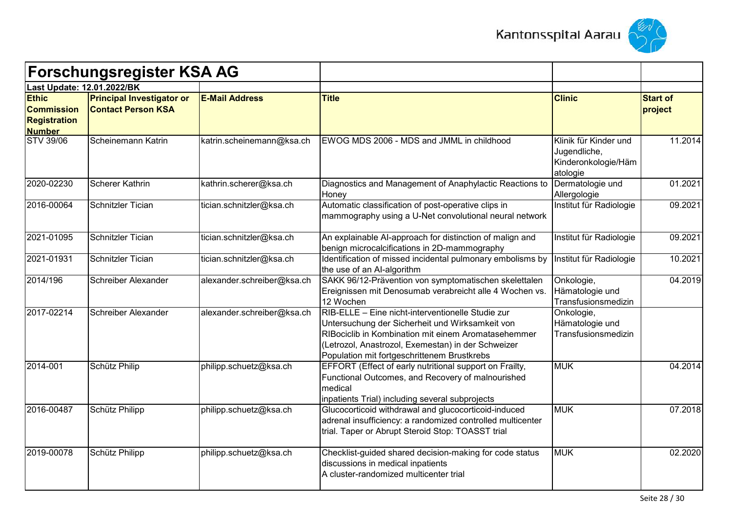



| <b>Forschungsregister KSA AG</b><br>Last Update: 12.01.2022/BK            |                                                               |                            |                                                                                                                                                                                                                                                                  |                                                                          |                            |
|---------------------------------------------------------------------------|---------------------------------------------------------------|----------------------------|------------------------------------------------------------------------------------------------------------------------------------------------------------------------------------------------------------------------------------------------------------------|--------------------------------------------------------------------------|----------------------------|
|                                                                           |                                                               |                            |                                                                                                                                                                                                                                                                  |                                                                          |                            |
| <b>Ethic</b><br><b>Commission</b><br><b>Registration</b><br><b>Number</b> | <b>Principal Investigator or</b><br><b>Contact Person KSA</b> | <b>E-Mail Address</b>      | <b>Title</b>                                                                                                                                                                                                                                                     | <b>Clinic</b>                                                            | <b>Start of</b><br>project |
| <b>STV 39/06</b>                                                          | Scheinemann Katrin                                            | katrin.scheinemann@ksa.ch  | EWOG MDS 2006 - MDS and JMML in childhood                                                                                                                                                                                                                        | Klinik für Kinder und<br>Jugendliche,<br>Kinderonkologie/Häm<br>atologie | 11.2014                    |
| 2020-02230                                                                | <b>Scherer Kathrin</b>                                        | kathrin.scherer@ksa.ch     | Diagnostics and Management of Anaphylactic Reactions to<br>Honey                                                                                                                                                                                                 | Dermatologie und<br>Allergologie                                         | 01.2021                    |
| 2016-00064                                                                | Schnitzler Tician                                             | tician.schnitzler@ksa.ch   | Automatic classification of post-operative clips in<br>mammography using a U-Net convolutional neural network                                                                                                                                                    | Institut für Radiologie                                                  | 09.2021                    |
| 2021-01095                                                                | Schnitzler Tician                                             | tician.schnitzler@ksa.ch   | An explainable Al-approach for distinction of malign and<br>benign microcalcifications in 2D-mammography                                                                                                                                                         | Institut für Radiologie                                                  | 09.2021                    |
| 2021-01931                                                                | Schnitzler Tician                                             | tician.schnitzler@ksa.ch   | Identification of missed incidental pulmonary embolisms by<br>the use of an Al-algorithm                                                                                                                                                                         | Institut für Radiologie                                                  | 10.2021                    |
| 2014/196                                                                  | Schreiber Alexander                                           | alexander.schreiber@ksa.ch | SAKK 96/12-Prävention von symptomatischen skelettalen<br>Ereignissen mit Denosumab verabreicht alle 4 Wochen vs.<br>12 Wochen                                                                                                                                    | Onkologie,<br>Hämatologie und<br>Transfusionsmedizin                     | 04.2019                    |
| 2017-02214                                                                | Schreiber Alexander                                           | alexander.schreiber@ksa.ch | RIB-ELLE - Eine nicht-interventionelle Studie zur<br>Untersuchung der Sicherheit und Wirksamkeit von<br>RIBociclib in Kombination mit einem Aromatasehemmer<br>(Letrozol, Anastrozol, Exemestan) in der Schweizer<br>Population mit fortgeschrittenem Brustkrebs | Onkologie,<br>Hämatologie und<br>Transfusionsmedizin                     |                            |
| 2014-001                                                                  | Schütz Philip                                                 | philipp.schuetz@ksa.ch     | EFFORT (Effect of early nutritional support on Frailty,<br>Functional Outcomes, and Recovery of malnourished<br>medical<br>inpatients Trial) including several subprojects                                                                                       | <b>MUK</b>                                                               | 04.2014                    |
| 2016-00487                                                                | Schütz Philipp                                                | philipp.schuetz@ksa.ch     | Glucocorticoid withdrawal and glucocorticoid-induced<br>adrenal insufficiency: a randomized controlled multicenter<br>trial. Taper or Abrupt Steroid Stop: TOASST trial                                                                                          | <b>MUK</b>                                                               | 07.2018                    |
| 2019-00078                                                                | Schütz Philipp                                                | philipp.schuetz@ksa.ch     | Checklist-guided shared decision-making for code status<br>discussions in medical inpatients<br>A cluster-randomized multicenter trial                                                                                                                           | <b>MUK</b>                                                               | 02.2020                    |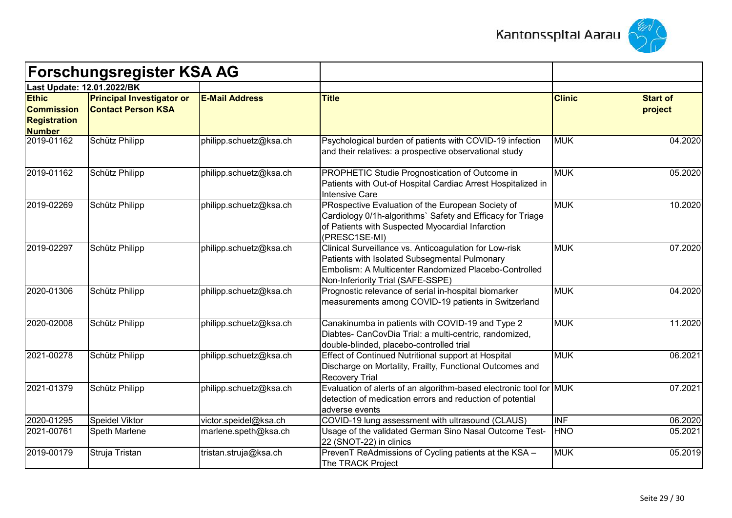



| <b>Forschungsregister KSA AG</b><br>Last Update: 12.01.2022/BK            |                                                               |                        |                                                                                                                                                                                                       |                           |                            |
|---------------------------------------------------------------------------|---------------------------------------------------------------|------------------------|-------------------------------------------------------------------------------------------------------------------------------------------------------------------------------------------------------|---------------------------|----------------------------|
|                                                                           |                                                               |                        |                                                                                                                                                                                                       |                           |                            |
| <b>Ethic</b><br><b>Commission</b><br><b>Registration</b><br><b>Number</b> | <b>Principal Investigator or</b><br><b>Contact Person KSA</b> | <b>E-Mail Address</b>  | <b>Title</b>                                                                                                                                                                                          | <b>Clinic</b>             | <b>Start of</b><br>project |
| 2019-01162                                                                | Schütz Philipp                                                | philipp.schuetz@ksa.ch | Psychological burden of patients with COVID-19 infection<br>and their relatives: a prospective observational study                                                                                    | <b>MUK</b>                | 04.2020                    |
| 2019-01162                                                                | Schütz Philipp                                                | philipp.schuetz@ksa.ch | PROPHETIC Studie Prognostication of Outcome in<br>Patients with Out-of Hospital Cardiac Arrest Hospitalized in<br>Intensive Care                                                                      | <b>MUK</b>                | 05.2020                    |
| 2019-02269                                                                | Schütz Philipp                                                | philipp.schuetz@ksa.ch | PRospective Evaluation of the European Society of<br>Cardiology 0/1h-algorithms' Safety and Efficacy for Triage<br>of Patients with Suspected Myocardial Infarction<br>(PRESC1SE-MI)                  | <b>MUK</b>                | 10.2020                    |
| 2019-02297                                                                | Schütz Philipp                                                | philipp.schuetz@ksa.ch | Clinical Surveillance vs. Anticoagulation for Low-risk<br>Patients with Isolated Subsegmental Pulmonary<br>Embolism: A Multicenter Randomized Placebo-Controlled<br>Non-Inferiority Trial (SAFE-SSPE) | <b>MUK</b>                | 07.2020                    |
| 2020-01306                                                                | Schütz Philipp                                                | philipp.schuetz@ksa.ch | Prognostic relevance of serial in-hospital biomarker<br>measurements among COVID-19 patients in Switzerland                                                                                           | <b>MUK</b>                | 04.2020                    |
| 2020-02008                                                                | Schütz Philipp                                                | philipp.schuetz@ksa.ch | Canakinumba in patients with COVID-19 and Type 2<br>Diabtes- CanCovDia Trial: a multi-centric, randomized,<br>double-blinded, placebo-controlled trial                                                | <b>MUK</b>                | 11.2020                    |
| 2021-00278                                                                | Schütz Philipp                                                | philipp.schuetz@ksa.ch | Effect of Continued Nutritional support at Hospital<br>Discharge on Mortality, Frailty, Functional Outcomes and<br><b>Recovery Trial</b>                                                              | <b>MUK</b>                | 06.2021                    |
| 2021-01379                                                                | Schütz Philipp                                                | philipp.schuetz@ksa.ch | Evaluation of alerts of an algorithm-based electronic tool for MUK<br>detection of medication errors and reduction of potential<br>adverse events                                                     |                           | 07.2021                    |
| 2020-01295                                                                | Speidel Viktor                                                | victor.speidel@ksa.ch  | COVID-19 lung assessment with ultrasound (CLAUS)                                                                                                                                                      | $\overline{\mathsf{INF}}$ | 06.2020                    |
| 2021-00761                                                                | Speth Marlene                                                 | marlene.speth@ksa.ch   | Usage of the validated German Sino Nasal Outcome Test-<br>22 (SNOT-22) in clinics                                                                                                                     | <b>HNO</b>                | 05.2021                    |
| 2019-00179                                                                | Struja Tristan                                                | tristan.struja@ksa.ch  | PrevenT ReAdmissions of Cycling patients at the KSA -<br>The TRACK Project                                                                                                                            | <b>MUK</b>                | 05.2019                    |